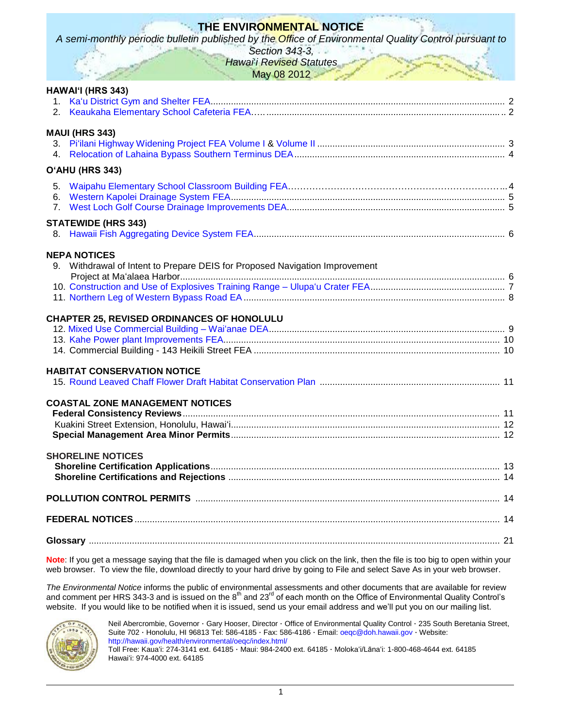# **THE ENVIRONMENTAL NOTICE**

*A semi-monthly periodic bulletin published by the Office of Environmental Quality Control pursuant to* 

*Section 343-3, Hawai*'*i Revised Statutes*

May 08 2012

|             | HAWAI'I (HRS 343)                                                                                  |  |
|-------------|----------------------------------------------------------------------------------------------------|--|
| $4_{\cdot}$ | <b>MAUI (HRS 343)</b>                                                                              |  |
|             | O'AHU (HRS 343)                                                                                    |  |
| $7_{\circ}$ |                                                                                                    |  |
|             | <b>STATEWIDE (HRS 343)</b>                                                                         |  |
|             | <b>NEPA NOTICES</b><br>9. Withdrawal of Intent to Prepare DEIS for Proposed Navigation Improvement |  |
|             | <b>CHAPTER 25, REVISED ORDINANCES OF HONOLULU</b>                                                  |  |
|             | <b>HABITAT CONSERVATION NOTICE</b>                                                                 |  |
|             | <b>COASTAL ZONE MANAGEMENT NOTICES</b>                                                             |  |
|             | <b>SHORELINE NOTICES</b>                                                                           |  |
|             |                                                                                                    |  |
|             |                                                                                                    |  |
|             |                                                                                                    |  |

**Note**: If you get a message saying that the file is damaged when you click on the link, then the file is too big to open within your web browser. To view the file, download directly to your hard drive by going to File and select Save As in your web browser.

*The Environmental Notice* informs the public of environmental assessments and other documents that are available for review and comment per HRS 343-3 and is issued on the  $8^{th}$  and 23<sup>rd</sup> of each month on the Office of Environmental Quality Control's website. If you would like to be notified when it is issued, send us your email address and we'll put you on our mailing list.



Neil Abercrombie, Governor · Gary Hooser, Director · Office of Environmental Quality Control · 235 South Beretania Street, Suite 702 · Honolulu, HI 96813 Tel: 586-4185 · Fax: 586-4186 · Email: [oeqc@doh.hawaii.gov](mailto:oeqc@doh.hawaii.gov) · Website: <http://hawaii.gov/health/environmental/oeqc/index.html/> Toll Free: Kauaʻi: 274-3141 ext. 64185 · Maui: 984-2400 ext. 64185 · Molokaʻi/Lānaʻi: 1-800-468-4644 ext. 64185 Hawaiʻi: 974-4000 ext. 64185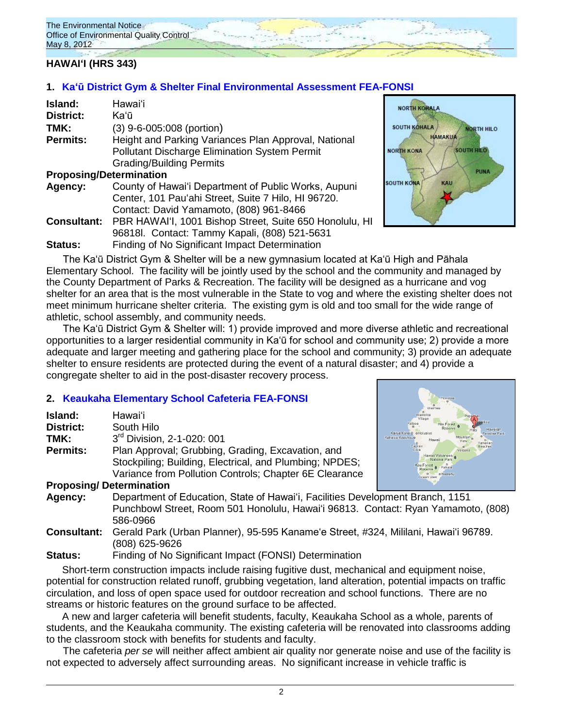# **HAWAIʻI (HRS 343)**

# **1. Ka'ū [District Gym & Shelter Final Environmental Assessment](http://oeqc.doh.hawaii.gov/Shared%20Documents/EA_and_EIS_Online_Library/Hawaii/2010s/2012-05-08-FEA-Kau-Gym-and-Shelter-in-Pahala.pdf) FEA-FONSI**

| Island:                        | Hawai'i                                                 |
|--------------------------------|---------------------------------------------------------|
| <b>District:</b>               | Kaʻū                                                    |
| TMK:                           | (3) 9-6-005:008 (portion)                               |
| <b>Permits:</b>                | Height and Parking Variances Plan Approval, National    |
|                                | <b>Pollutant Discharge Elimination System Permit</b>    |
|                                | <b>Grading/Building Permits</b>                         |
| <b>Proposing/Determination</b> |                                                         |
| Agency:                        | County of Hawai'i Department of Public Works, Aupuni    |
|                                | Center, 101 Pau'ahi Street, Suite 7 Hilo, HI 96720.     |
|                                | Contact: David Yamamoto, (808) 961-8466                 |
| <b>Consultant:</b>             | PBR HAWAI'I, 1001 Bishop Street, Suite 650 Honolulu, HI |
|                                | 96818l. Contact: Tammy Kapali, (808) 521-5631           |
| Status:                        | Finding of No Significant Impact Determination          |



The Ka'ū District Gym & Shelter will be a new gymnasium located at Ka'ū High and Pāhala Elementary School. The facility will be jointly used by the school and the community and managed by the County Department of Parks & Recreation. The facility will be designed as a hurricane and vog shelter for an area that is the most vulnerable in the State to vog and where the existing shelter does not meet minimum hurricane shelter criteria. The existing gym is old and too small for the wide range of athletic, school assembly, and community needs.

The Ka'ū District Gym & Shelter will: 1) provide improved and more diverse athletic and recreational opportunities to a larger residential community in Ka'ū for school and community use; 2) provide a more adequate and larger meeting and gathering place for the school and community; 3) provide an adequate shelter to ensure residents are protected during the event of a natural disaster; and 4) provide a congregate shelter to aid in the post-disaster recovery process.

### **2. [Keaukaha Elementary School Cafeteria FEA-FONSI](http://oeqc.doh.hawaii.gov/Shared%20Documents/EA_and_EIS_Online_Library/Hawaii/2010s/2012-05-08-DEA-Keaukaha-Elementary-School-Cafeteria.pdf)**

| Island:         | Hawai'i                                                             |                             |
|-----------------|---------------------------------------------------------------------|-----------------------------|
| District:       | South Hilo                                                          | Kal                         |
| TMK:            | 3rd Division, 2-1-020: 001                                          | Kailua Kona C<br>uu-Keauhou |
| <b>Permits:</b> | Plan Approval; Grubbing, Grading, Excavation, and                   |                             |
|                 | Stockpiling; Building, Electrical, and Plumbing; NPDES;             |                             |
|                 | Variance from Pollution Controls; Chapter 6E Clearance              |                             |
|                 | <b>Proposing/Determination</b>                                      |                             |
| Agency.         | Department of Education, State of Hawai'i, Eacilities Development I |                             |



- **Facilities Development Branch, 1151** Punchbowl Street, Room 501 Honolulu, Hawaiʻi 96813. Contact: Ryan Yamamoto, (808) 586-0966
- **Consultant:** Gerald Park (Urban Planner), 95-595 Kaname'e Street, #324, Mililani, Hawai'i 96789. (808) 625-9626

### **Status:** Finding of No Significant Impact (FONSI) Determination

Short-term construction impacts include raising fugitive dust, mechanical and equipment noise, potential for construction related runoff, grubbing vegetation, land alteration, potential impacts on traffic circulation, and loss of open space used for outdoor recreation and school functions. There are no streams or historic features on the ground surface to be affected.

A new and larger cafeteria will benefit students, faculty, Keaukaha School as a whole, parents of students, and the Keaukaha community. The existing cafeteria will be renovated into classrooms adding to the classroom stock with benefits for students and faculty.

The cafeteria *per se* will neither affect ambient air quality nor generate noise and use of the facility is not expected to adversely affect surrounding areas. No significant increase in vehicle traffic is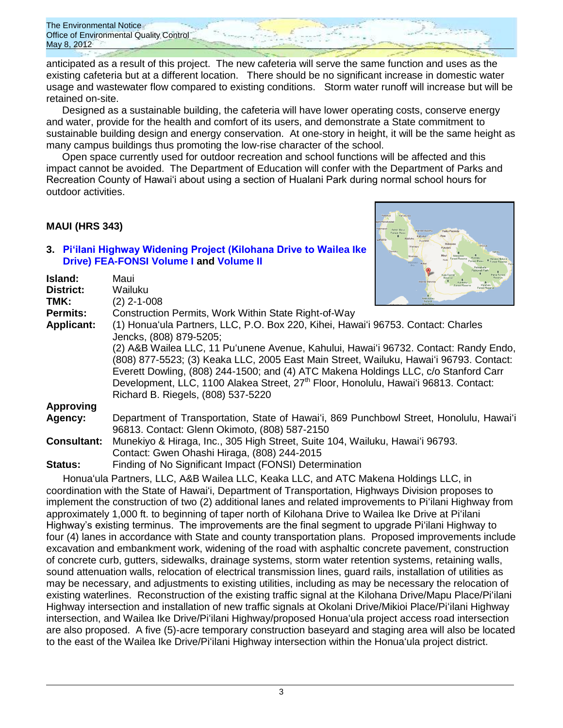anticipated as a result of this project. The new cafeteria will serve the same function and uses as the existing cafeteria but at a different location. There should be no significant increase in domestic water usage and wastewater flow compared to existing conditions. Storm water runoff will increase but will be retained on-site.

Designed as a sustainable building, the cafeteria will have lower operating costs, conserve energy and water, provide for the health and comfort of its users, and demonstrate a State commitment to sustainable building design and energy conservation. At one-story in height, it will be the same height as many campus buildings thus promoting the low-rise character of the school.

Open space currently used for outdoor recreation and school functions will be affected and this impact cannot be avoided. The Department of Education will confer with the Department of Parks and Recreation County of Hawai'i about using a section of Hualani Park during normal school hours for outdoor activities.

### **MAUI (HRS 343)**

**Island:** Maui **District:** Wailuku

#### **3. [Pi'ilani Highway Widening Project \(Kilohana Drive to Wailea Ike](http://oeqc.doh.hawaii.gov/Shared%20Documents/EA_and_EIS_Online_Library/Maui/2010s/2012-05-08-FEA-Piilani-Highway-Widening-Kilohana-Drive-to-Wailea-Ike-Drive-Volume-I.pdf)  Drive) [FEA-FONSI](http://oeqc.doh.hawaii.gov/Shared%20Documents/EA_and_EIS_Online_Library/Maui/2010s/2012-05-08-FEA-Piilani-Highway-Widening-Kilohana-Drive-to-Wailea-Ike-Drive-Volume-I.pdf) Volume I and [Volume II](http://oeqc.doh.hawaii.gov/Shared%20Documents/EA_and_EIS_Online_Library/Maui/2010s/2012-05-08-FEA-Piilani-Highway-Widening-Kilohana-Drive-to-Wailea-Ike-Drive-Volume-II.pdf)**



| TMK:              | (2) 2-1-008                                                                                                                                                                                                                                                                                                                                                                                                    | <b>Ahihi Kina</b> |
|-------------------|----------------------------------------------------------------------------------------------------------------------------------------------------------------------------------------------------------------------------------------------------------------------------------------------------------------------------------------------------------------------------------------------------------------|-------------------|
| <b>Permits:</b>   | Construction Permits, Work Within State Right-of-Way                                                                                                                                                                                                                                                                                                                                                           |                   |
| <b>Applicant:</b> | (1) Honua'ula Partners, LLC, P.O. Box 220, Kihei, Hawai'i 96753. Contact: Charles<br>Jencks, (808) 879-5205;                                                                                                                                                                                                                                                                                                   |                   |
|                   | (2) A&B Wailea LLC, 11 Pu'unene Avenue, Kahului, Hawai'i 96732. Contact: Randy Endo,<br>(808) 877-5523; (3) Keaka LLC, 2005 East Main Street, Wailuku, Hawai'i 96793. Contact:<br>Everett Dowling, (808) 244-1500; and (4) ATC Makena Holdings LLC, c/o Stanford Carr<br>Development, LLC, 1100 Alakea Street, 27 <sup>th</sup> Floor, Honolulu, Hawai'i 96813. Contact:<br>Richard B. Riegels, (808) 537-5220 |                   |
| <b>Approving</b>  |                                                                                                                                                                                                                                                                                                                                                                                                                |                   |
| Agency:           | Department of Transportation, State of Hawai'i, 869 Punchbowl Street, Honolulu, Hawai'i<br>96813. Contact: Glenn Okimoto, (808) 587-2150                                                                                                                                                                                                                                                                       |                   |

**Consultant:** Munekiyo & Hiraga, Inc., 305 High Street, Suite 104, Wailuku, Hawaiʻi 96793. Contact: Gwen Ohashi Hiraga, (808) 244-2015

**Status:** Finding of No Significant Impact (FONSI) Determination

Honuaʻula Partners, LLC, A&B Wailea LLC, Keaka LLC, and ATC Makena Holdings LLC, in coordination with the State of Hawaiʻi, Department of Transportation, Highways Division proposes to implement the construction of two (2) additional lanes and related improvements to Piʻilani Highway from approximately 1,000 ft. to beginning of taper north of Kilohana Drive to Wailea Ike Drive at Piʻilani Highway's existing terminus. The improvements are the final segment to upgrade Piʻilani Highway to four (4) lanes in accordance with State and county transportation plans. Proposed improvements include excavation and embankment work, widening of the road with asphaltic concrete pavement, construction of concrete curb, gutters, sidewalks, drainage systems, storm water retention systems, retaining walls, sound attenuation walls, relocation of electrical transmission lines, guard rails, installation of utilities as may be necessary, and adjustments to existing utilities, including as may be necessary the relocation of existing waterlines. Reconstruction of the existing traffic signal at the Kilohana Drive/Mapu Place/Piʻilani Highway intersection and installation of new traffic signals at Okolani Drive/Mikioi Place/Piʻilani Highway intersection, and Wailea Ike Drive/Piʻilani Highway/proposed Honuaʻula project access road intersection are also proposed. A five (5)-acre temporary construction baseyard and staging area will also be located to the east of the Wailea Ike Drive/Piʻilani Highway intersection within the Honuaʻula project district.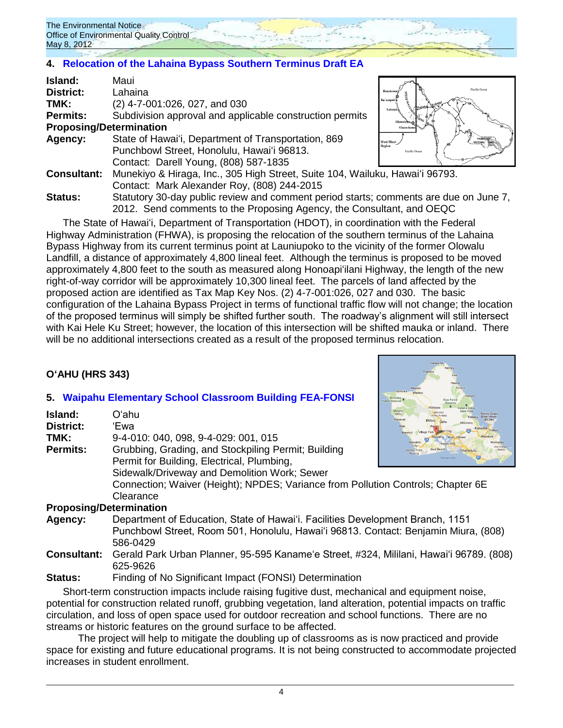# **4. [Relocation of the Lahaina Bypass Southern Terminus Draft EA](http://oeqc.doh.hawaii.gov/Shared%20Documents/EA_and_EIS_Online_Library/Maui/2010s/2012-05-08-DEA-Relocation-of-Lahaina-Bypass-Southern-Terminus.pdf)**

| Island:                        | Maui                                                                                  |                         |
|--------------------------------|---------------------------------------------------------------------------------------|-------------------------|
| District:                      | Lahaina                                                                               | Pacific Ocean           |
| TMK:                           | (2) 4-7-001:026, 027, and 030                                                         | Lahaing                 |
| Permits:                       | Subdivision approval and applicable construction permits                              |                         |
| <b>Proposing/Determination</b> |                                                                                       |                         |
| <b>Agency:</b>                 | State of Hawai'i, Department of Transportation, 869                                   | West Maui               |
|                                | Punchbowl Street, Honolulu, Hawai'i 96813.                                            | Region<br>Pacific Ocean |
|                                | Contact: Darell Young, (808) 587-1835                                                 |                         |
| <b>Consultant:</b>             | Munekiyo & Hiraga, Inc., 305 High Street, Suite 104, Wailuku, Hawai'i 96793.          |                         |
|                                | Contact: Mark Alexander Roy, (808) 244-2015                                           |                         |
| <b>Status:</b>                 | Statutory 30-day public review and comment period starts; comments are due on June 7, |                         |
|                                | 2012. Send comments to the Proposing Agency, the Consultant, and OEQC                 |                         |

The State of Hawaiʻi, Department of Transportation (HDOT), in coordination with the Federal Highway Administration (FHWA), is proposing the relocation of the southern terminus of the Lahaina Bypass Highway from its current terminus point at Launiupoko to the vicinity of the former Olowalu Landfill, a distance of approximately 4,800 lineal feet. Although the terminus is proposed to be moved approximately 4,800 feet to the south as measured along Honoapiʻilani Highway, the length of the new right-of-way corridor will be approximately 10,300 lineal feet. The parcels of land affected by the proposed action are identified as Tax Map Key Nos. (2) 4-7-001:026, 027 and 030. The basic configuration of the Lahaina Bypass Project in terms of functional traffic flow will not change; the location of the proposed terminus will simply be shifted further south. The roadway's alignment will still intersect with Kai Hele Ku Street; however, the location of this intersection will be shifted mauka or inland. There will be no additional intersections created as a result of the proposed terminus relocation.

# **OʻAHU (HRS 343)**

### **5. [Waipahu Elementary School Classroom Building](http://oeqc.doh.hawaii.gov/Shared%20Documents/EA_and_EIS_Online_Library/Oahu/2010s/2012-05-08-FEA-Waipahu-Elementary-School-8-Classroom-Building.pdf) FEA-FONSI**

| Island:<br>District: | Oʻahu<br>'Ewa                                                                    | Wahiawa<br>Makaha<br>State Park<br>Valley<br>Marine Corps<br>Waianae<br>Mililani<br>Oahu<br><b>Milage Park</b> |
|----------------------|----------------------------------------------------------------------------------|----------------------------------------------------------------------------------------------------------------|
| TMK:                 | 9-4-010: 040, 098, 9-4-029: 001, 015                                             | Makakilo<br>Waimanak<br><b>Hickam AFB</b>                                                                      |
| <b>Permits:</b>      | Grubbing, Grading, and Stockpiling Permit; Building                              | Waimanal<br>Ewa Beach<br><b>Barbers Poll</b><br>Honolulu<br>Housing                                            |
|                      | Permit for Building, Electrical, Plumbing,                                       | <b>TIF</b><br>Mamala Bay                                                                                       |
|                      | Sidewalk/Driveway and Demolition Work; Sewer                                     |                                                                                                                |
|                      | Connection; Waiver (Height); NPDES; Variance from Pollution Controls; Chapter 6E |                                                                                                                |
|                      | Clearance                                                                        |                                                                                                                |
|                      | <b>Dranacina/Determination</b>                                                   |                                                                                                                |

#### Proposing/Deter

- **Agency:** Department of Education, State of Hawai'i. Facilities Development Branch, 1151 Punchbowl Street, Room 501, Honolulu, Hawai'i 96813. Contact: Benjamin Miura, (808) 586-0429
- **Consultant:** Gerald Park Urban Planner, 95-595 Kaname'e Street, #324, Mililani, Hawai'i 96789. (808) 625-9626
- **Status:** Finding of No Significant Impact (FONSI) Determination

Short-term construction impacts include raising fugitive dust, mechanical and equipment noise, potential for construction related runoff, grubbing vegetation, land alteration, potential impacts on traffic circulation, and loss of open space used for outdoor recreation and school functions. There are no streams or historic features on the ground surface to be affected.

The project will help to mitigate the doubling up of classrooms as is now practiced and provide space for existing and future educational programs. It is not being constructed to accommodate projected increases in student enrollment.



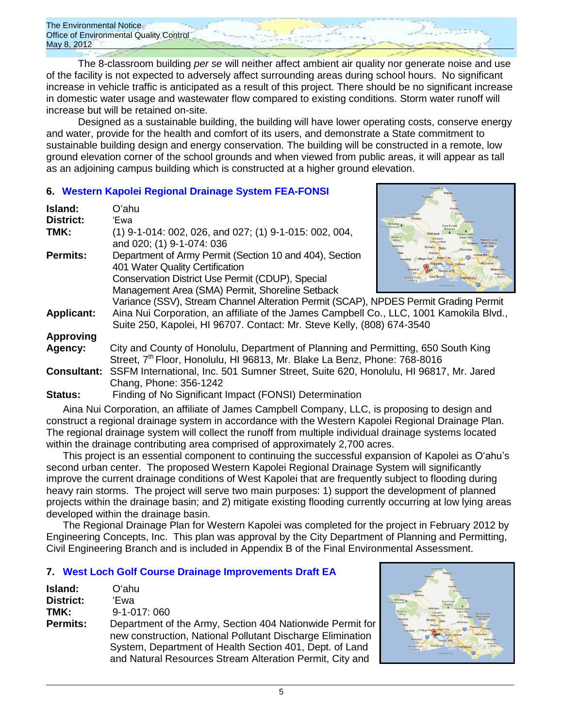The 8-classroom building *per se* will neither affect ambient air quality nor generate noise and use of the facility is not expected to adversely affect surrounding areas during school hours. No significant increase in vehicle traffic is anticipated as a result of this project. There should be no significant increase in domestic water usage and wastewater flow compared to existing conditions. Storm water runoff will increase but will be retained on-site.

Designed as a sustainable building, the building will have lower operating costs, conserve energy and water, provide for the health and comfort of its users, and demonstrate a State commitment to sustainable building design and energy conservation. The building will be constructed in a remote, low ground elevation corner of the school grounds and when viewed from public areas, it will appear as tall as an adjoining campus building which is constructed at a higher ground elevation.

# **6. [Western Kapolei Regional Drainage System](http://oeqc.doh.hawaii.gov/Shared%20Documents/EA_and_EIS_Online_Library/Oahu/2010s/2012-05-08-FEA-Western-Kapolei-Drainage-System.pdf) FEA-FONSI**

| Island:           | Oʻahu                                                                                                                                                                                             |                                                     |
|-------------------|---------------------------------------------------------------------------------------------------------------------------------------------------------------------------------------------------|-----------------------------------------------------|
| <b>District:</b>  | 'Ewa                                                                                                                                                                                              | Kaaawa<br>Ewa Forest                                |
| TMK:              | (1) 9-1-014: 002, 026, and 027; (1) 9-1-015: 002, 004,<br>and 020; (1) 9-1-074: 036                                                                                                               | orest Reserve<br><b>Wahiawa</b><br>Makaha<br>Valley |
| Permits:          | Department of Army Permit (Section 10 and 404), Section<br>401 Water Quality Certification<br>Conservation District Use Permit (CDUP), Special<br>Management Area (SMA) Permit, Shoreline Setback | Walanae<br>Honolulu<br>Mamala Bay                   |
|                   | Variance (SSV), Stream Channel Alteration Permit (SCAP), NPDES Permit Grading Permit                                                                                                              |                                                     |
| <b>Applicant:</b> | Aina Nui Corporation, an affiliate of the James Campbell Co., LLC, 1001 Kamokila Blvd.,<br>Suite 250, Kapolei, HI 96707. Contact: Mr. Steve Kelly, (808) 674-3540                                 |                                                     |
| <b>Approving</b>  |                                                                                                                                                                                                   |                                                     |
| Agency:           | City and County of Honolulu, Department of Planning and Permitting, 650 South King<br>Street, 7 <sup>th</sup> Floor, Honolulu, HI 96813, Mr. Blake La Benz, Phone: 768-8016                       |                                                     |
|                   | Consultant: SSFM International, Inc. 501 Sumner Street, Suite 620, Honolulu, HI 96817, Mr. Jared<br>Chang, Phone: 356-1242                                                                        |                                                     |
| <b>Status:</b>    | Finding of No Significant Impact (FONSI) Determination                                                                                                                                            |                                                     |

Aina Nui Corporation, an affiliate of James Campbell Company, LLC, is proposing to design and construct a regional drainage system in accordance with the Western Kapolei Regional Drainage Plan. The regional drainage system will collect the runoff from multiple individual drainage systems located within the drainage contributing area comprised of approximately 2,700 acres.

This project is an essential component to continuing the successful expansion of Kapolei as Oʻahu's second urban center. The proposed Western Kapolei Regional Drainage System will significantly improve the current drainage conditions of West Kapolei that are frequently subject to flooding during heavy rain storms. The project will serve two main purposes: 1) support the development of planned projects within the drainage basin; and 2) mitigate existing flooding currently occurring at low lying areas developed within the drainage basin.

The Regional Drainage Plan for Western Kapolei was completed for the project in February 2012 by Engineering Concepts, Inc. This plan was approval by the City Department of Planning and Permitting, Civil Engineering Branch and is included in Appendix B of the Final Environmental Assessment.

# **7. [West Loch Golf Course Drainage Improvements Draft EA](http://oeqc.doh.hawaii.gov/Shared%20Documents/EA_and_EIS_Online_Library/Oahu/2010s/2012-05-08-DEA-West-Loch-Golf-Course-Drainage-Improvements.pdf)**

| Island:         | O'ahu                                                                                                                                                                                                                                          |
|-----------------|------------------------------------------------------------------------------------------------------------------------------------------------------------------------------------------------------------------------------------------------|
| District:       | 'Ewa                                                                                                                                                                                                                                           |
| TMK:            | 9-1-017:060                                                                                                                                                                                                                                    |
| <b>Permits:</b> | Department of the Army, Section 404 Nationwide Permit for<br>new construction, National Pollutant Discharge Elimination<br>System, Department of Health Section 401, Dept. of Land<br>and Natural Resources Stream Alteration Permit, City and |

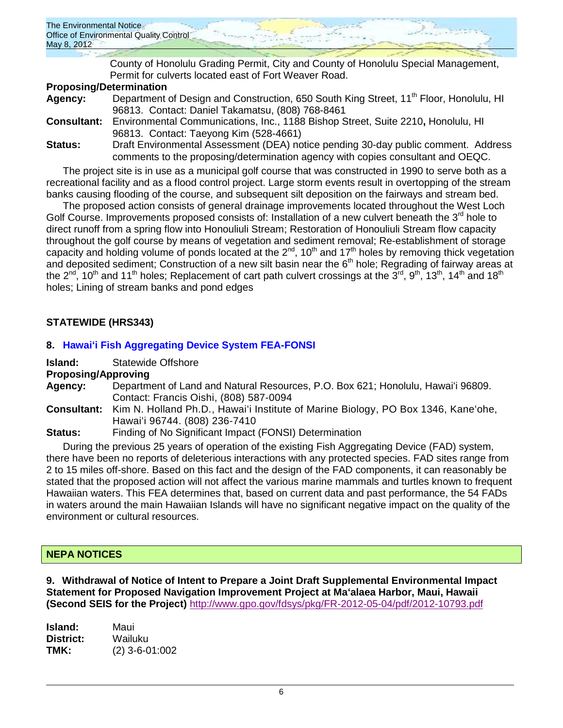| The Environmental Notice                |
|-----------------------------------------|
| Office of Environmental Quality Control |
| May 8, 2012                             |
|                                         |

County of Honolulu Grading Permit, City and County of Honolulu Special Management, Permit for culverts located east of Fort Weaver Road.

### **Proposing/Determination**

| Agency:            | Department of Design and Construction, 650 South King Street, 11 <sup>th</sup> Floor, Honolulu, HI |
|--------------------|----------------------------------------------------------------------------------------------------|
|                    | 96813. Contact: Daniel Takamatsu, (808) 768-8461                                                   |
| <b>Consultant:</b> | Environmental Communications, Inc., 1188 Bishop Street, Suite 2210, Honolulu, HI                   |
|                    | 96813. Contact: Taeyong Kim (528-4661)                                                             |
| Status:            | Draft Environmental Assessment (DEA) notice pending 30-day public comment. Address                 |
|                    | comments to the proposing/determination agency with copies consultant and OEQC.                    |

The project site is in use as a municipal golf course that was constructed in 1990 to serve both as a recreational facility and as a flood control project. Large storm events result in overtopping of the stream banks causing flooding of the course, and subsequent silt deposition on the fairways and stream bed.

The proposed action consists of general drainage improvements located throughout the West Loch Golf Course. Improvements proposed consists of: Installation of a new culvert beneath the 3<sup>rd</sup> hole to direct runoff from a spring flow into Honouliuli Stream; Restoration of Honouliuli Stream flow capacity throughout the golf course by means of vegetation and sediment removal; Re-establishment of storage capacity and holding volume of ponds located at the  $2^{nd}$ , 10<sup>th</sup> and 17<sup>th</sup> holes by removing thick vegetation and deposited sediment; Construction of a new silt basin near the  $6<sup>th</sup>$  hole; Regrading of fairway areas at the 2<sup>nd</sup>, 10<sup>th</sup> and 11<sup>th</sup> holes; Replacement of cart path culvert crossings at the 3<sup>rd</sup>, 9<sup>th</sup>, 13<sup>th</sup>, 14<sup>th</sup> and 18<sup>th</sup> holes; Lining of stream banks and pond edges

# **STATEWIDE (HRS343)**

# **8. [Hawaiʻi Fish Aggregating Device System FEA-FONSI](http://oeqc.doh.hawaii.gov/Shared%20Documents/EA_and_EIS_Online_Library/Statewide/2010s/2012-05-08-FEA-Hawaii-Statewide-Fish-Aggregating-System.pdf)**

**Island:** Statewide Offshore

### **Proposing/Approving**

- **Agency:** Department of Land and Natural Resources, P.O. Box 621; Honolulu, Hawaiʻi 96809. Contact: Francis Oishi, (808) 587-0094
- **Consultant:** Kim N. Holland Ph.D., Hawaiʻi Institute of Marine Biology, PO Box 1346, Kaneʻohe, Hawaiʻi 96744. (808) 236-7410
- **Status:** Finding of No Significant Impact (FONSI) Determination

During the previous 25 years of operation of the existing Fish Aggregating Device (FAD) system, there have been no reports of deleterious interactions with any protected species. FAD sites range from 2 to 15 miles off-shore. Based on this fact and the design of the FAD components, it can reasonably be stated that the proposed action will not affect the various marine mammals and turtles known to frequent Hawaiian waters. This FEA determines that, based on current data and past performance, the 54 FADs in waters around the main Hawaiian Islands will have no significant negative impact on the quality of the environment or cultural resources.

# **NEPA NOTICES**

**9. Withdrawal of Notice of Intent to Prepare a Joint Draft Supplemental Environmental Impact Statement for Proposed Navigation Improvement Project at Maʻalaea Harbor, Maui, Hawaii (Second SEIS for the Project)** <http://www.gpo.gov/fdsys/pkg/FR-2012-05-04/pdf/2012-10793.pdf>

**Island:** Maui **District:** Wailuku **TMK:** (2) 3-6-01:002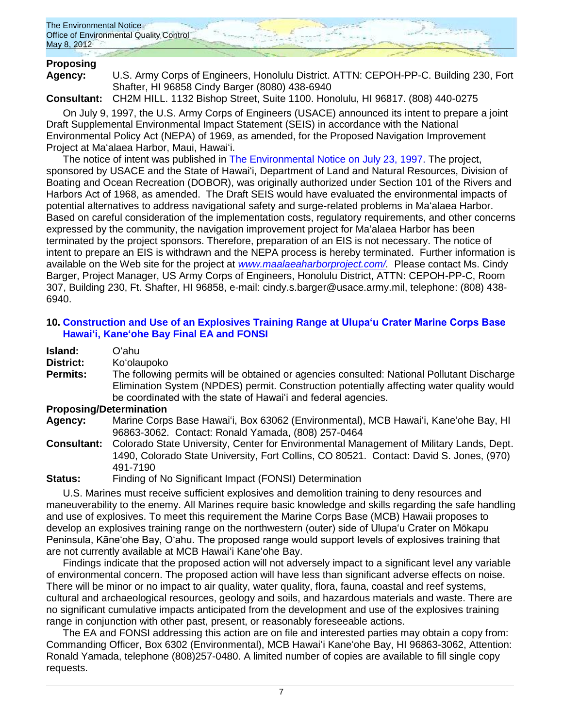

# **Proposing**

**Agency:** U.S. Army Corps of Engineers, Honolulu District. ATTN: CEPOH-PP-C. Building 230, Fort Shafter, HI 96858 Cindy Barger (8080) 438-6940

**Consultant:** CH2M HILL. 1132 Bishop Street, Suite 1100. Honolulu, HI 96817. (808) 440-0275

On July 9, 1997, the U.S. Army Corps of Engineers (USACE) announced its intent to prepare a joint Draft Supplemental Environmental Impact Statement (SEIS) in accordance with the National Environmental Policy Act (NEPA) of 1969, as amended, for the Proposed Navigation Improvement Project at Maʻalaea Harbor, Maui, Hawaiʻi.

The notice of intent was published in [The Environmental Notice on July 23, 1997.](http://oeqc.doh.hawaii.gov/Shared%20Documents/Environmental_Notice/Archives/1990s/1997_Env_Notice/1997-07-23.pdf) The project, sponsored by USACE and the State of Hawaiʻi, Department of Land and Natural Resources, Division of Boating and Ocean Recreation (DOBOR), was originally authorized under Section 101 of the Rivers and Harbors Act of 1968, as amended. The Draft SEIS would have evaluated the environmental impacts of potential alternatives to address navigational safety and surge-related problems in Maʻalaea Harbor. Based on careful consideration of the implementation costs, regulatory requirements, and other concerns expressed by the community, the navigation improvement project for Maʻalaea Harbor has been terminated by the project sponsors. Therefore, preparation of an EIS is not necessary. The notice of intent to prepare an EIS is withdrawn and the NEPA process is hereby terminated. Further information is available on the Web site for the project at *[www.maalaeaharborproject.com/.](http://www.maalaeaharborproject.com/)* Please contact Ms. Cindy Barger, Project Manager, US Army Corps of Engineers, Honolulu District, ATTN: CEPOH-PP-C, Room 307, Building 230, Ft. Shafter, HI 96858, e-mail: [cindy.s.barger@usace.army.mil,](mailto:cindy.s.barger@usace.army.mil) telephone: (808) 438- 6940.

# **10. [Construction and Use of an Explosives Training Range at Ulupa'u Crater Marine Corps Base](http://oeqc.doh.hawaii.gov/Shared%20Documents/EA_and_EIS_Online_Library/NEPA%20and%20Other%20Documents/2012-05-08-NEPA-EA-FONSI-Ulupau-Crater-Explosives-Training-Range-MCBH-Kaneohe.pdf)  [Hawaiʻi, Kaneʻohe Bay](http://oeqc.doh.hawaii.gov/Shared%20Documents/EA_and_EIS_Online_Library/NEPA%20and%20Other%20Documents/2012-05-08-NEPA-EA-FONSI-Ulupau-Crater-Explosives-Training-Range-MCBH-Kaneohe.pdf) Final EA and FONSI**

| Island:          | Oʻahul                                                                                                                                                                                                                                                    |
|------------------|-----------------------------------------------------------------------------------------------------------------------------------------------------------------------------------------------------------------------------------------------------------|
| <b>District:</b> | Ko'olaupoko                                                                                                                                                                                                                                               |
| <b>Permits:</b>  | The following permits will be obtained or agencies consulted: National Pollutant Discharge<br>Elimination System (NPDES) permit. Construction potentially affecting water quality would<br>be coordinated with the state of Hawai'i and federal agencies. |

# **Proposing/Determination**

**Agency:** Marine Corps Base Hawaiʻi, Box 63062 (Environmental), MCB Hawaiʻi, Kaneʻohe Bay, HI 96863-3062. Contact: Ronald Yamada, (808) 257-0464

**Consultant:** Colorado State University, Center for Environmental Management of Military Lands, Dept. 1490, Colorado State University, Fort Collins, CO 80521. Contact: David S. Jones, (970) 491-7190

**Status:** Finding of No Significant Impact (FONSI) Determination

U.S. Marines must receive sufficient explosives and demolition training to deny resources and maneuverability to the enemy. All Marines require basic knowledge and skills regarding the safe handling and use of explosives. To meet this requirement the Marine Corps Base (MCB) Hawaii proposes to develop an explosives training range on the northwestern (outer) side of Ulupa'u Crater on Mōkapu Peninsula, Kāne'ohe Bay, O'ahu. The proposed range would support levels of explosives training that are not currently available at MCB Hawaiʻi Kaneʻohe Bay.

Findings indicate that the proposed action will not adversely impact to a significant level any variable of environmental concern. The proposed action will have less than significant adverse effects on noise. There will be minor or no impact to air quality, water quality, flora, fauna, coastal and reef systems, cultural and archaeological resources, geology and soils, and hazardous materials and waste. There are no significant cumulative impacts anticipated from the development and use of the explosives training range in conjunction with other past, present, or reasonably foreseeable actions.

The EA and FONSI addressing this action are on file and interested parties may obtain a copy from: Commanding Officer, Box 6302 (Environmental), MCB Hawaiʻi Kaneʻohe Bay, HI 96863-3062, Attention: Ronald Yamada, telephone (808)257-0480. A limited number of copies are available to fill single copy requests.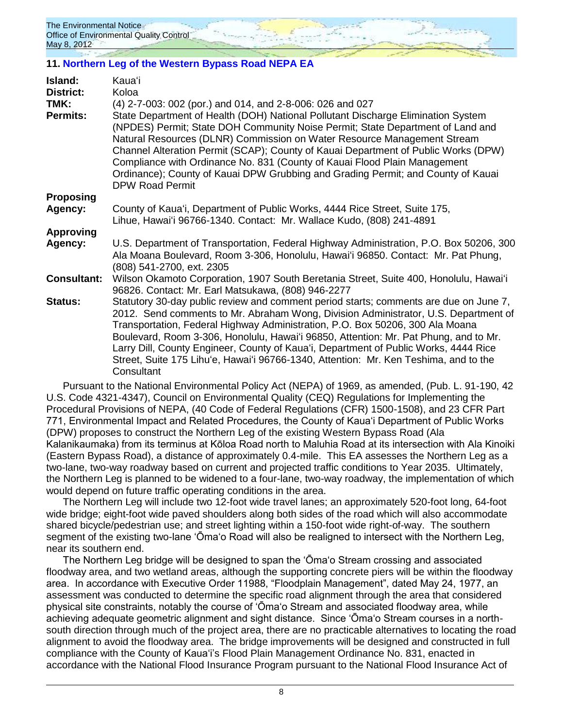# **11. [Northern Leg of the Western Bypass Road NEPA EA](http://oeqc.doh.hawaii.gov/Shared%20Documents/EA_and_EIS_Online_Library/NEPA%20and%20Other%20Documents/2012-05-08-NEPA-EA-FONSI-Northern-Leg-Western-Bypass-Road-Kauai.pdf)**

| Island:                  | Kaua'i                                                                                                                                                                                                                                                                                                                                                                                                                                                                                                                                              |
|--------------------------|-----------------------------------------------------------------------------------------------------------------------------------------------------------------------------------------------------------------------------------------------------------------------------------------------------------------------------------------------------------------------------------------------------------------------------------------------------------------------------------------------------------------------------------------------------|
| <b>District:</b><br>TMK: | Koloa<br>(4) 2-7-003: 002 (por.) and 014, and 2-8-006: 026 and 027                                                                                                                                                                                                                                                                                                                                                                                                                                                                                  |
| <b>Permits:</b>          | State Department of Health (DOH) National Pollutant Discharge Elimination System<br>(NPDES) Permit; State DOH Community Noise Permit; State Department of Land and<br>Natural Resources (DLNR) Commission on Water Resource Management Stream<br>Channel Alteration Permit (SCAP); County of Kauai Department of Public Works (DPW)<br>Compliance with Ordinance No. 831 (County of Kauai Flood Plain Management<br>Ordinance); County of Kauai DPW Grubbing and Grading Permit; and County of Kauai<br><b>DPW Road Permit</b>                      |
| Proposing                |                                                                                                                                                                                                                                                                                                                                                                                                                                                                                                                                                     |
| Agency:                  | County of Kaua'i, Department of Public Works, 4444 Rice Street, Suite 175,<br>Lihue, Hawai'i 96766-1340. Contact: Mr. Wallace Kudo, (808) 241-4891                                                                                                                                                                                                                                                                                                                                                                                                  |
| <b>Approving</b>         |                                                                                                                                                                                                                                                                                                                                                                                                                                                                                                                                                     |
| Agency:                  | U.S. Department of Transportation, Federal Highway Administration, P.O. Box 50206, 300<br>Ala Moana Boulevard, Room 3-306, Honolulu, Hawai'i 96850. Contact: Mr. Pat Phung,<br>(808) 541-2700, ext. 2305                                                                                                                                                                                                                                                                                                                                            |
| <b>Consultant:</b>       | Wilson Okamoto Corporation, 1907 South Beretania Street, Suite 400, Honolulu, Hawai'i<br>96826. Contact: Mr. Earl Matsukawa, (808) 946-2277                                                                                                                                                                                                                                                                                                                                                                                                         |
| Status:                  | Statutory 30-day public review and comment period starts; comments are due on June 7,<br>2012. Send comments to Mr. Abraham Wong, Division Administrator, U.S. Department of<br>Transportation, Federal Highway Administration, P.O. Box 50206, 300 Ala Moana<br>Boulevard, Room 3-306, Honolulu, Hawai'i 96850, Attention: Mr. Pat Phung, and to Mr.<br>Larry Dill, County Engineer, County of Kaua'i, Department of Public Works, 4444 Rice<br>Street, Suite 175 Lihu'e, Hawai'i 96766-1340, Attention: Mr. Ken Teshima, and to the<br>Consultant |
|                          |                                                                                                                                                                                                                                                                                                                                                                                                                                                                                                                                                     |

Pursuant to the National Environmental Policy Act (NEPA) of 1969, as amended, (Pub. L. 91-190, 42 U.S. Code 4321-4347), Council on Environmental Quality (CEQ) Regulations for Implementing the Procedural Provisions of NEPA, (40 Code of Federal Regulations (CFR) 1500-1508), and 23 CFR Part 771, Environmental Impact and Related Procedures, the County of Kaua'i Department of Public Works (DPW) proposes to construct the Northern Leg of the existing Western Bypass Road (Ala Kalanikaumaka) from its terminus at Kōloa Road north to Maluhia Road at its intersection with Ala Kinoiki (Eastern Bypass Road), a distance of approximately 0.4-mile. This EA assesses the Northern Leg as a two-lane, two-way roadway based on current and projected traffic conditions to Year 2035. Ultimately, the Northern Leg is planned to be widened to a four-lane, two-way roadway, the implementation of which would depend on future traffic operating conditions in the area.

The Northern Leg will include two 12-foot wide travel lanes; an approximately 520-foot long, 64-foot wide bridge; eight-foot wide paved shoulders along both sides of the road which will also accommodate shared bicycle/pedestrian use; and street lighting within a 150-foot wide right-of-way. The southern segment of the existing two-lane 'Ōma'o Road will also be realigned to intersect with the Northern Leg, near its southern end.

The Northern Leg bridge will be designed to span the 'Ōma'o Stream crossing and associated floodway area, and two wetland areas, although the supporting concrete piers will be within the floodway area. In accordance with Executive Order 11988, "Floodplain Management", dated May 24, 1977, an assessment was conducted to determine the specific road alignment through the area that considered physical site constraints, notably the course of 'Ōma'o Stream and associated floodway area, while achieving adequate geometric alignment and sight distance. Since 'Ōma'o Stream courses in a northsouth direction through much of the project area, there are no practicable alternatives to locating the road alignment to avoid the floodway area. The bridge improvements will be designed and constructed in full compliance with the County of Kaua'i's Flood Plain Management Ordinance No. 831, enacted in accordance with the National Flood Insurance Program pursuant to the National Flood Insurance Act of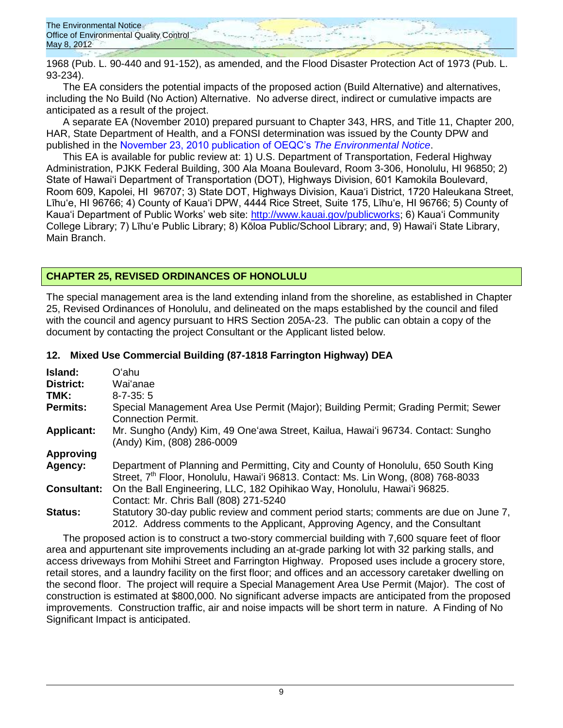1968 (Pub. L. 90-440 and 91-152), as amended, and the Flood Disaster Protection Act of 1973 (Pub. L. 93-234).

The EA considers the potential impacts of the proposed action (Build Alternative) and alternatives, including the No Build (No Action) Alternative. No adverse direct, indirect or cumulative impacts are anticipated as a result of the project.

A separate EA (November 2010) prepared pursuant to Chapter 343, HRS, and Title 11, Chapter 200, HAR, State Department of Health, and a FONSI determination was issued by the County DPW and published in the [November 23, 2010 publication of OEQC's](http://oeqc.doh.hawaii.gov/Shared%20Documents/Environmental_Notice/Archives/2010s/2010-11-23.pdf) *The Environmental Notice*.

This EA is available for public review at: 1) U.S. Department of Transportation, Federal Highway Administration, PJKK Federal Building, 300 Ala Moana Boulevard, Room 3-306, Honolulu, HI 96850; 2) State of Hawai'i Department of Transportation (DOT), Highways Division, 601 Kamokila Boulevard, Room 609, Kapolei, HI 96707; 3) State DOT, Highways Division, Kaua'i District, 1720 Haleukana Street, Līhu'e, HI 96766; 4) County of Kaua'i DPW, 4444 Rice Street, Suite 175, Līhu'e, HI 96766; 5) County of Kaua'i Department of Public Works' web site: [http://www.kauai.gov/publicworks;](http://www.kauai.gov/publicworks) 6) Kaua'i Community College Library; 7) Līhu'e Public Library; 8) Kōloa Public/School Library; and, 9) Hawai'i State Library, Main Branch.

# **CHAPTER 25, REVISED ORDINANCES OF HONOLULU**

The special management area is the land extending inland from the shoreline, as established in Chapter 25, Revised Ordinances of Honolulu, and delineated on the maps established by the council and filed with the council and agency pursuant to HRS Section 205A-23. The public can obtain a copy of the document by contacting the project Consultant or the Applicant listed below.

| Island:            | Oʻahu.                                                                                                                                                                              |
|--------------------|-------------------------------------------------------------------------------------------------------------------------------------------------------------------------------------|
| <b>District:</b>   | Wai'anae                                                                                                                                                                            |
| TMK:               | $8 - 7 - 35:5$                                                                                                                                                                      |
| <b>Permits:</b>    | Special Management Area Use Permit (Major); Building Permit; Grading Permit; Sewer<br><b>Connection Permit.</b>                                                                     |
| <b>Applicant:</b>  | Mr. Sungho (Andy) Kim, 49 One'awa Street, Kailua, Hawai'i 96734. Contact: Sungho<br>(Andy) Kim, (808) 286-0009                                                                      |
| <b>Approving</b>   |                                                                                                                                                                                     |
| Agency:            | Department of Planning and Permitting, City and County of Honolulu, 650 South King<br>Street, 7 <sup>th</sup> Floor, Honolulu, Hawai'i 96813. Contact: Ms. Lin Wong, (808) 768-8033 |
| <b>Consultant:</b> | On the Ball Engineering, LLC, 182 Opihikao Way, Honolulu, Hawai'i 96825.<br>Contact: Mr. Chris Ball (808) 271-5240                                                                  |
| <b>Status:</b>     | Statutory 30-day public review and comment period starts; comments are due on June 7,<br>2012. Address comments to the Applicant, Approving Agency, and the Consultant              |

#### **12. Mixed Use Commercial Building (87-1818 Farrington Highway) DEA**

The proposed action is to construct a two-story commercial building with 7,600 square feet of floor area and appurtenant site improvements including an at-grade parking lot with 32 parking stalls, and access driveways from Mohihi Street and Farrington Highway. Proposed uses include a grocery store, retail stores, and a laundry facility on the first floor; and offices and an accessory caretaker dwelling on the second floor. The project will require a Special Management Area Use Permit (Major). The cost of construction is estimated at \$800,000. No significant adverse impacts are anticipated from the proposed improvements. Construction traffic, air and noise impacts will be short term in nature. A Finding of No Significant Impact is anticipated.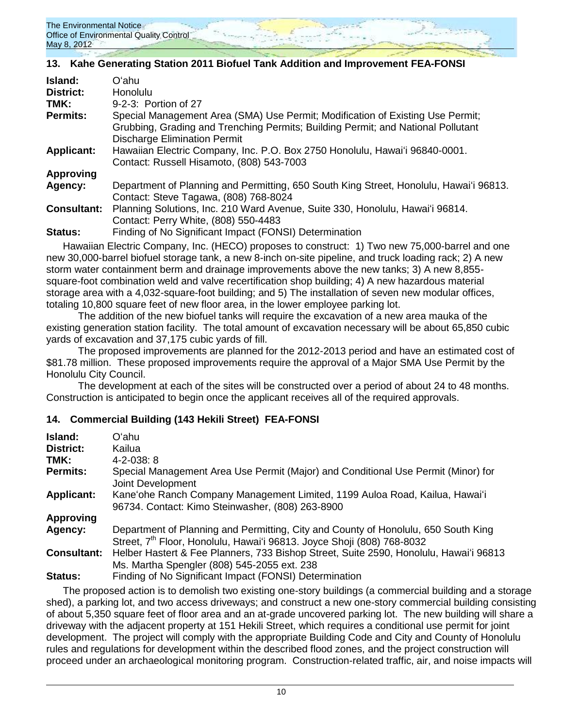

# **13. Kahe Generating Station 2011 Biofuel Tank Addition and Improvement FEA-FONSI**

| Island:            | Oʻahu                                                                                                                                                                                                     |
|--------------------|-----------------------------------------------------------------------------------------------------------------------------------------------------------------------------------------------------------|
| <b>District:</b>   | <b>Honolulu</b>                                                                                                                                                                                           |
| TMK:               | 9-2-3: Portion of 27                                                                                                                                                                                      |
| <b>Permits:</b>    | Special Management Area (SMA) Use Permit; Modification of Existing Use Permit;<br>Grubbing, Grading and Trenching Permits; Building Permit; and National Pollutant<br><b>Discharge Elimination Permit</b> |
| <b>Applicant:</b>  | Hawaiian Electric Company, Inc. P.O. Box 2750 Honolulu, Hawai'i 96840-0001.<br>Contact: Russell Hisamoto, (808) 543-7003                                                                                  |
| <b>Approving</b>   |                                                                                                                                                                                                           |
| Agency:            | Department of Planning and Permitting, 650 South King Street, Honolulu, Hawai'i 96813.<br>Contact: Steve Tagawa, (808) 768-8024                                                                           |
| <b>Consultant:</b> | Planning Solutions, Inc. 210 Ward Avenue, Suite 330, Honolulu, Hawai'i 96814.<br>Contact: Perry White, (808) 550-4483                                                                                     |
| Status:            | Finding of No Significant Impact (FONSI) Determination                                                                                                                                                    |
|                    |                                                                                                                                                                                                           |

Hawaiian Electric Company, Inc. (HECO) proposes to construct: 1) Two new 75,000-barrel and one new 30,000-barrel biofuel storage tank, a new 8-inch on-site pipeline, and truck loading rack; 2) A new storm water containment berm and drainage improvements above the new tanks; 3) A new 8,855 square-foot combination weld and valve recertification shop building; 4) A new hazardous material storage area with a 4,032-square-foot building; and 5) The installation of seven new modular offices, totaling 10,800 square feet of new floor area, in the lower employee parking lot.

The addition of the new biofuel tanks will require the excavation of a new area mauka of the existing generation station facility. The total amount of excavation necessary will be about 65,850 cubic yards of excavation and 37,175 cubic yards of fill.

The proposed improvements are planned for the 2012-2013 period and have an estimated cost of \$81.78 million. These proposed improvements require the approval of a Major SMA Use Permit by the Honolulu City Council.

The development at each of the sites will be constructed over a period of about 24 to 48 months. Construction is anticipated to begin once the applicant receives all of the required approvals.

# **14. Commercial Building (143 Hekili Street) FEA-FONSI**

| Island:            | Oʻahu                                                                                                                                                                    |
|--------------------|--------------------------------------------------------------------------------------------------------------------------------------------------------------------------|
| <b>District:</b>   | Kailua                                                                                                                                                                   |
| TMK:               | $4 - 2 - 038$ : 8                                                                                                                                                        |
| <b>Permits:</b>    | Special Management Area Use Permit (Major) and Conditional Use Permit (Minor) for<br>Joint Development                                                                   |
| <b>Applicant:</b>  | Kane'ohe Ranch Company Management Limited, 1199 Auloa Road, Kailua, Hawai'i<br>96734. Contact: Kimo Steinwasher, (808) 263-8900                                          |
| <b>Approving</b>   |                                                                                                                                                                          |
| Agency:            | Department of Planning and Permitting, City and County of Honolulu, 650 South King<br>Street, 7 <sup>th</sup> Floor, Honolulu, Hawai'i 96813. Joyce Shoji (808) 768-8032 |
| <b>Consultant:</b> | Helber Hastert & Fee Planners, 733 Bishop Street, Suite 2590, Honolulu, Hawai'i 96813<br>Ms. Martha Spengler (808) 545-2055 ext. 238                                     |
| <b>Status:</b>     | Finding of No Significant Impact (FONSI) Determination                                                                                                                   |

The proposed action is to demolish two existing one-story buildings (a commercial building and a storage shed), a parking lot, and two access driveways; and construct a new one-story commercial building consisting of about 5,350 square feet of floor area and an at-grade uncovered parking lot. The new building will share a driveway with the adjacent property at 151 Hekili Street, which requires a conditional use permit for joint development. The project will comply with the appropriate Building Code and City and County of Honolulu rules and regulations for development within the described flood zones, and the project construction will proceed under an archaeological monitoring program. Construction-related traffic, air, and noise impacts will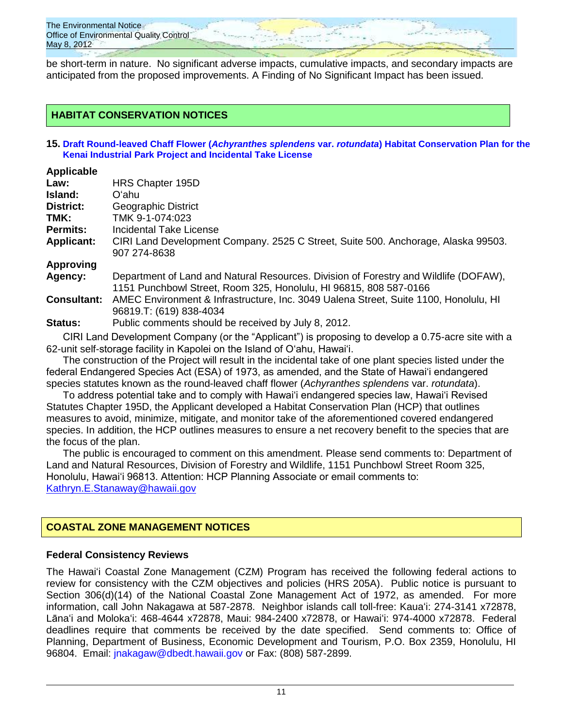be short-term in nature. No significant adverse impacts, cumulative impacts, and secondary impacts are anticipated from the proposed improvements. A Finding of No Significant Impact has been issued.

# **HABITAT CONSERVATION NOTICES**

#### **15. Draft Round-leaved Chaff Flower (***Achyranthes splendens* **var.** *rotundata***[\) Habitat Conservation Plan for the](http://oeqc.doh.hawaii.gov/Shared%20Documents/EA_and_EIS_Online_Library/HABITAT%20CONSERVATION/2012-05-08-Round-Leaved-Flower-Habitat-Conservation-Plan.pdf)  [Kenai Industrial Park Project and Incidental Take License](http://oeqc.doh.hawaii.gov/Shared%20Documents/EA_and_EIS_Online_Library/HABITAT%20CONSERVATION/2012-05-08-Round-Leaved-Flower-Habitat-Conservation-Plan.pdf)**

#### **Applicable**

| Law:               | HRS Chapter 195D                                                                     |
|--------------------|--------------------------------------------------------------------------------------|
| Island:            | Oʻahu.                                                                               |
| District:          | Geographic District                                                                  |
| TMK:               | TMK 9-1-074:023                                                                      |
| <b>Permits:</b>    | Incidental Take License                                                              |
| <b>Applicant:</b>  | CIRI Land Development Company. 2525 C Street, Suite 500. Anchorage, Alaska 99503.    |
|                    | 907 274-8638                                                                         |
| <b>Approving</b>   |                                                                                      |
| Agency:            | Department of Land and Natural Resources. Division of Forestry and Wildlife (DOFAW), |
|                    | 1151 Punchbowl Street, Room 325, Honolulu, HI 96815, 808 587-0166                    |
| <b>Consultant:</b> | AMEC Environment & Infrastructure, Inc. 3049 Ualena Street, Suite 1100, Honolulu, HI |
|                    | 96819.T: (619) 838-4034                                                              |
| Status:            | Public comments should be received by July 8, 2012.                                  |

CIRI Land Development Company (or the "Applicant") is proposing to develop a 0.75-acre site with a 62-unit self-storage facility in Kapolei on the Island of O'ahu, Hawai'i.

The construction of the Project will result in the incidental take of one plant species listed under the federal Endangered Species Act (ESA) of 1973, as amended, and the State of Hawai'i endangered species statutes known as the round-leaved chaff flower (*Achyranthes splendens* var. *rotundata*).

To address potential take and to comply with Hawaiʻi endangered species law, Hawaiʻi Revised Statutes Chapter 195D, the Applicant developed a Habitat Conservation Plan (HCP) that outlines measures to avoid, minimize, mitigate, and monitor take of the aforementioned covered endangered species. In addition, the HCP outlines measures to ensure a net recovery benefit to the species that are the focus of the plan.

The public is encouraged to comment on this amendment. Please send comments to: Department of Land and Natural Resources, Division of Forestry and Wildlife, 1151 Punchbowl Street Room 325, Honolulu, Hawaiʻi 96813. Attention: HCP Planning Associate or email comments to: [Kathryn.E.Stanaway@hawaii.gov](mailto:Kathryn.E.Stanaway@hawaii.gov)

# **COASTAL ZONE MANAGEMENT NOTICES**

### **Federal Consistency Reviews**

The Hawaiʻi Coastal Zone Management (CZM) Program has received the following federal actions to review for consistency with the CZM objectives and policies (HRS 205A). Public notice is pursuant to Section 306(d)(14) of the National Coastal Zone Management Act of 1972, as amended. For more information, call John Nakagawa at 587-2878. Neighbor islands call toll-free: Kauaʻi: 274-3141 x72878, Lānaʻi and Molokaʻi: 468-4644 x72878, Maui: 984-2400 x72878, or Hawaiʻi: 974-4000 x72878. Federal deadlines require that comments be received by the date specified. Send comments to: Office of Planning, Department of Business, Economic Development and Tourism, P.O. Box 2359, Honolulu, HI 96804. Email: [jnakagaw@dbedt.hawaii.gov](mailto:jnakagaw@dbedt.hawaii.gov) or Fax: (808) 587-2899.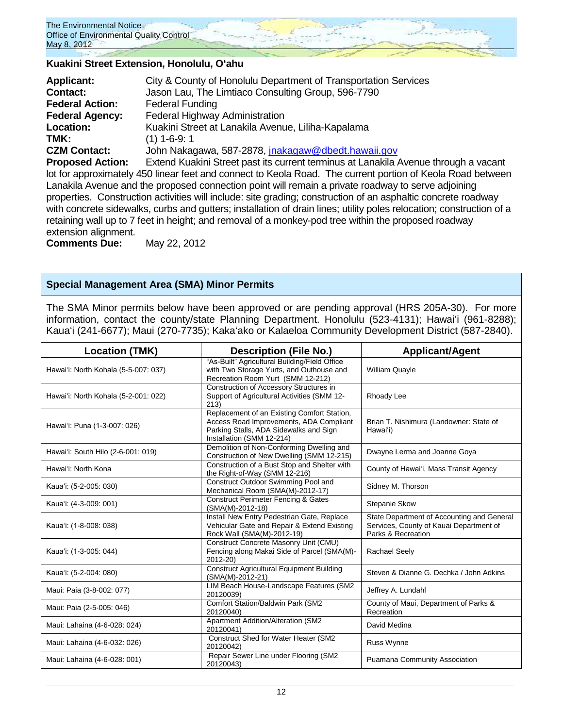

#### **Kuakini Street Extension, Honolulu, Oʻahu**

| <b>Applicant:</b>       | City & County of Honolulu Department of Transportation Services        |
|-------------------------|------------------------------------------------------------------------|
| <b>Contact:</b>         | Jason Lau, The Limtiaco Consulting Group, 596-7790                     |
| <b>Federal Action:</b>  | <b>Federal Funding</b>                                                 |
| <b>Federal Agency:</b>  | Federal Highway Administration                                         |
| Location:               | Kuakini Street at Lanakila Avenue, Liliha-Kapalama                     |
| TMK:                    | $(1)$ 1-6-9: 1                                                         |
| <b>CZM Contact:</b>     | John Nakagawa, 587-2878, jnakagaw@dbedt.hawaii.gov                     |
| <b>Pronosed Action:</b> | Extend Kuakini Street past its current terminus at Lanakila Avenue thr |

end Kuakini Street past its current terminus at Lanakila Avenue through a vacant lot for approximately 450 linear feet and connect to Keola Road. The current portion of Keola Road between Lanakila Avenue and the proposed connection point will remain a private roadway to serve adjoining properties. Construction activities will include: site grading; construction of an asphaltic concrete roadway with concrete sidewalks, curbs and gutters; installation of drain lines; utility poles relocation; construction of a retaining wall up to 7 feet in height; and removal of a monkey-pod tree within the proposed roadway extension alignment.

**Comments Due:** May 22, 2012

### **Special Management Area (SMA) Minor Permits**

The SMA Minor permits below have been approved or are pending approval (HRS 205A-30). For more information, contact the county/state Planning Department. Honolulu (523-4131); Hawaiʻi (961-8288); Kauaʻi (241-6677); Maui (270-7735); Kakaʻako or Kalaeloa Community Development District (587-2840).

| <b>Location (TMK)</b>                | <b>Description (File No.)</b>                                                                                                                                 | <b>Applicant/Agent</b>                                                                                      |  |
|--------------------------------------|---------------------------------------------------------------------------------------------------------------------------------------------------------------|-------------------------------------------------------------------------------------------------------------|--|
| Hawai'i: North Kohala (5-5-007: 037) | "As-Built" Agricultural Building/Field Office<br>with Two Storage Yurts, and Outhouse and<br>Recreation Room Yurt (SMM 12-212)                                | William Quayle                                                                                              |  |
| Hawai'i: North Kohala (5-2-001: 022) | Construction of Accessory Structures in<br>Support of Agricultural Activities (SMM 12-<br>213)                                                                | Rhoady Lee                                                                                                  |  |
| Hawai'i: Puna (1-3-007: 026)         | Replacement of an Existing Comfort Station,<br>Access Road Improvements, ADA Compliant<br>Parking Stalls, ADA Sidewalks and Sign<br>Installation (SMM 12-214) | Brian T. Nishimura (Landowner: State of<br>Hawai'i)                                                         |  |
| Hawai'i: South Hilo (2-6-001: 019)   | Demolition of Non-Conforming Dwelling and<br>Construction of New Dwelling (SMM 12-215)                                                                        | Dwayne Lerma and Joanne Goya                                                                                |  |
| Hawai'i: North Kona                  | Construction of a Bust Stop and Shelter with<br>the Right-of-Way (SMM 12-216)                                                                                 | County of Hawai'i, Mass Transit Agency                                                                      |  |
| Kaua'i: (5-2-005: 030)               | Construct Outdoor Swimming Pool and<br>Mechanical Room (SMA(M)-2012-17)                                                                                       | Sidney M. Thorson                                                                                           |  |
| Kaua'i: (4-3-009: 001)               | <b>Construct Perimeter Fencing &amp; Gates</b><br>(SMA(M)-2012-18)                                                                                            | Stepanie Skow                                                                                               |  |
| Kaua'i: (1-8-008: 038)               | Install New Entry Pedestrian Gate, Replace<br>Vehicular Gate and Repair & Extend Existing<br>Rock Wall (SMA(M)-2012-19)                                       | State Department of Accounting and General<br>Services, County of Kauai Department of<br>Parks & Recreation |  |
| Kaua'i: (1-3-005: 044)               | Construct Concrete Masonry Unit (CMU)<br>Fencing along Makai Side of Parcel (SMA(M)-<br>2012-20)                                                              | <b>Rachael Seely</b>                                                                                        |  |
| Kaua'i: (5-2-004: 080)               | <b>Construct Agricultural Equipment Building</b><br>(SMA(M)-2012-21)                                                                                          | Steven & Dianne G. Dechka / John Adkins                                                                     |  |
| Maui: Paia (3-8-002: 077)            | LIM Beach House-Landscape Features (SM2<br>20120039)                                                                                                          | Jeffrey A. Lundahl                                                                                          |  |
| Maui: Paia (2-5-005: 046)            | Comfort Station/Baldwin Park (SM2<br>20120040)                                                                                                                | County of Maui, Department of Parks &<br>Recreation                                                         |  |
| Maui: Lahaina (4-6-028: 024)         | Apartment Addition/Alteration (SM2<br>20120041)                                                                                                               | David Medina                                                                                                |  |
| Maui: Lahaina (4-6-032: 026)         | Construct Shed for Water Heater (SM2<br>20120042)                                                                                                             | Russ Wynne                                                                                                  |  |
| Maui: Lahaina (4-6-028: 001)         | Repair Sewer Line under Flooring (SM2<br>20120043)                                                                                                            | Puamana Community Association                                                                               |  |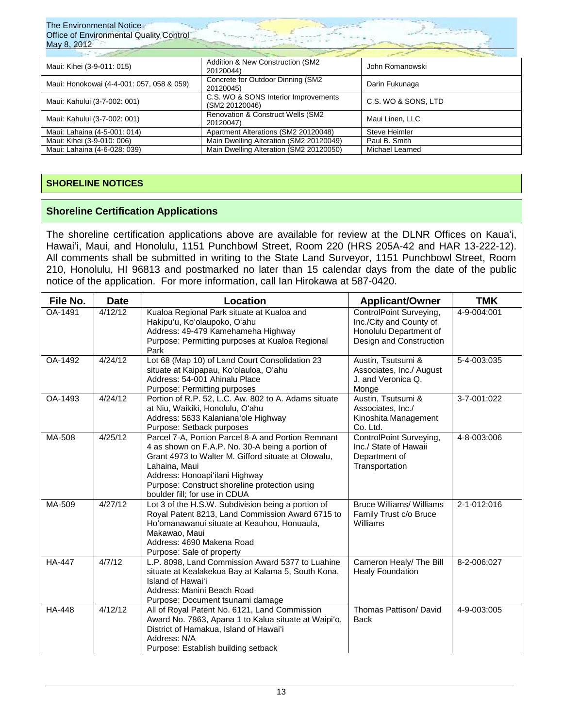| The Environmental Notice<br>Office of Environmental Quality Control<br>May 8, 2012 |                                                        |                      |  |  |  |
|------------------------------------------------------------------------------------|--------------------------------------------------------|----------------------|--|--|--|
| Maui: Kihei (3-9-011: 015)                                                         | Addition & New Construction (SM2<br>20120044)          | John Romanowski      |  |  |  |
| Maui: Honokowai (4-4-001: 057, 058 & 059)                                          | Concrete for Outdoor Dinning (SM2<br>20120045)         | Darin Fukunaga       |  |  |  |
| Maui: Kahului (3-7-002: 001)                                                       | C.S. WO & SONS Interior Improvements<br>(SM2 20120046) | C.S. WO & SONS, LTD  |  |  |  |
| Maui: Kahului (3-7-002: 001)                                                       | Renovation & Construct Wells (SM2<br>20120047)         | Maui Linen, LLC      |  |  |  |
| Maui: Lahaina (4-5-001: 014)                                                       | Apartment Alterations (SM2 20120048)                   | <b>Steve Heimler</b> |  |  |  |
| Maui: Kihei (3-9-010: 006)                                                         | Main Dwelling Alteration (SM2 20120049)                | Paul B. Smith        |  |  |  |
| Maui: Lahaina (4-6-028: 039)                                                       | Main Dwelling Alteration (SM2 20120050)                | Michael Learned      |  |  |  |

### **SHORELINE NOTICES**

The Environmental Notice

### **Shoreline Certification Applications**

The shoreline certification applications above are available for review at the DLNR Offices on Kauaʻi, Hawaiʻi, Maui, and Honolulu, 1151 Punchbowl Street, Room 220 (HRS 205A-42 and HAR 13-222-12). All comments shall be submitted in writing to the State Land Surveyor, 1151 Punchbowl Street, Room 210, Honolulu, HI 96813 and postmarked no later than 15 calendar days from the date of the public notice of the application. For more information, call Ian Hirokawa at 587-0420.

| File No.      | <b>Date</b> | Location                                                                                                                                                                                                                                                                                           | <b>Applicant/Owner</b>                                                                                  | <b>TMK</b>  |
|---------------|-------------|----------------------------------------------------------------------------------------------------------------------------------------------------------------------------------------------------------------------------------------------------------------------------------------------------|---------------------------------------------------------------------------------------------------------|-------------|
| OA-1491       | 4/12/12     | Kualoa Regional Park situate at Kualoa and<br>Hakipu'u, Ko'olaupoko, O'ahu<br>Address: 49-479 Kamehameha Highway<br>Purpose: Permitting purposes at Kualoa Regional<br>Park                                                                                                                        | ControlPoint Surveying,<br>Inc./City and County of<br>Honolulu Department of<br>Design and Construction | 4-9-004:001 |
| OA-1492       | 4/24/12     | Lot 68 (Map 10) of Land Court Consolidation 23<br>situate at Kaipapau, Ko'olauloa, O'ahu<br>Address: 54-001 Ahinalu Place<br>Purpose: Permitting purposes                                                                                                                                          | Austin, Tsutsumi &<br>Associates, Inc./ August<br>J. and Veronica Q.<br>Monge                           | 5-4-003:035 |
| OA-1493       | 4/24/12     | Portion of R.P. 52, L.C. Aw. 802 to A. Adams situate<br>Austin, Tsutsumi &<br>Associates, Inc./<br>at Niu, Waikiki, Honolulu, Oʻahu<br>Address: 5633 Kalaniana'ole Highway<br>Kinoshita Management<br>Co. Ltd.<br>Purpose: Setback purposes                                                        |                                                                                                         | 3-7-001:022 |
| MA-508        | 4/25/12     | Parcel 7-A, Portion Parcel 8-A and Portion Remnant<br>4 as shown on F.A.P. No. 30-A being a portion of<br>Grant 4973 to Walter M. Gifford situate at Olowalu,<br>Lahaina, Maui<br>Address: Honoapi'ilani Highway<br>Purpose: Construct shoreline protection using<br>boulder fill; for use in CDUA | ControlPoint Surveying,<br>Inc./ State of Hawaii<br>Department of<br>Transportation                     | 4-8-003:006 |
| MA-509        | 4/27/12     | Lot 3 of the H.S.W. Subdivision being a portion of<br>Royal Patent 8213, Land Commission Award 6715 to<br>Ho'omanawanui situate at Keauhou, Honuaula,<br>Makawao, Maui<br>Address: 4690 Makena Road<br>Purpose: Sale of property                                                                   | <b>Bruce Williams/ Williams</b><br>Family Trust c/o Bruce<br>Williams                                   | 2-1-012:016 |
| <b>HA-447</b> | 4/7/12      | L.P. 8098, Land Commission Award 5377 to Luahine<br>situate at Kealakekua Bay at Kalama 5, South Kona,<br>Island of Hawai'i<br>Address: Manini Beach Road<br>Purpose: Document tsunami damage                                                                                                      | Cameron Healy/ The Bill<br><b>Healy Foundation</b>                                                      | 8-2-006:027 |
| <b>HA-448</b> | 4/12/12     | All of Royal Patent No. 6121, Land Commission<br>Award No. 7863, Apana 1 to Kalua situate at Waipi'o,<br>District of Hamakua, Island of Hawai'i<br>Address: N/A<br>Purpose: Establish building setback                                                                                             | Thomas Pattison/ David<br><b>Back</b>                                                                   | 4-9-003:005 |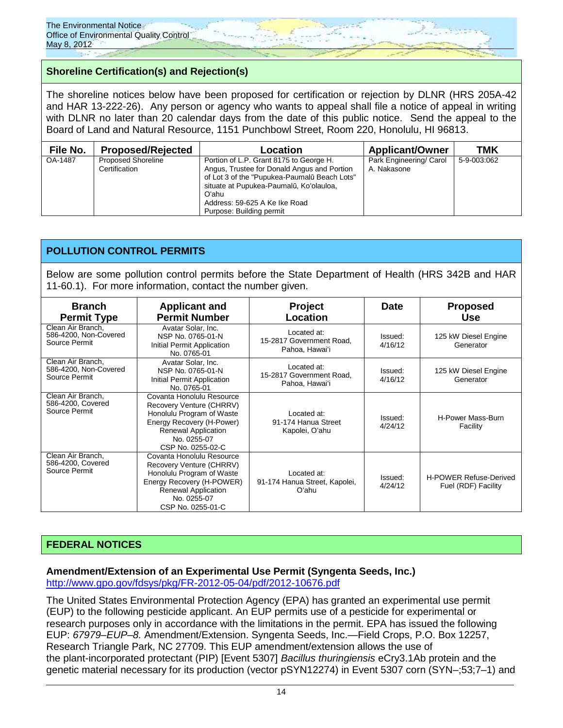

# **Shoreline Certification(s) and Rejection(s)**

The shoreline notices below have been proposed for certification or rejection by DLNR (HRS 205A-42 and HAR 13-222-26). Any person or agency who wants to appeal shall file a notice of appeal in writing with DLNR no later than 20 calendar days from the date of this public notice. Send the appeal to the Board of Land and Natural Resource, 1151 Punchbowl Street, Room 220, Honolulu, HI 96813.

| File No. | <b>Proposed/Rejected</b>                   | Location                                                                                                                                                                                                                                                | <b>Applicant/Owner</b>                 | TMK         |
|----------|--------------------------------------------|---------------------------------------------------------------------------------------------------------------------------------------------------------------------------------------------------------------------------------------------------------|----------------------------------------|-------------|
| OA-1487  | <b>Proposed Shoreline</b><br>Certification | Portion of L.P. Grant 8175 to George H.<br>Angus, Trustee for Donald Angus and Portion<br>of Lot 3 of the "Pupukea-Paumalū Beach Lots"<br>situate at Pupukea-Paumalū, Ko'olauloa,<br>Oʻahu<br>Address: 59-625 A Ke Ike Road<br>Purpose: Building permit | Park Engineering/ Carol<br>A. Nakasone | 5-9-003:062 |

### **POLLUTION CONTROL PERMITS**

Below are some pollution control permits before the State Department of Health (HRS 342B and HAR 11-60.1). For more information, contact the number given.

| <b>Branch</b><br><b>Permit Type</b>                         | <b>Applicant and</b><br><b>Permit Number</b>                                                                                                                                      | <b>Project</b><br>Location                                | <b>Date</b>        | <b>Proposed</b><br>Use                               |
|-------------------------------------------------------------|-----------------------------------------------------------------------------------------------------------------------------------------------------------------------------------|-----------------------------------------------------------|--------------------|------------------------------------------------------|
| Clean Air Branch.<br>586-4200, Non-Covered<br>Source Permit | Avatar Solar, Inc.<br>NSP No. 0765-01-N<br>Initial Permit Application<br>No. 0765-01                                                                                              | Located at:<br>15-2817 Government Road.<br>Pahoa, Hawai'i | Issued:<br>4/16/12 | 125 kW Diesel Engine<br>Generator                    |
| Clean Air Branch.<br>586-4200, Non-Covered<br>Source Permit | Avatar Solar, Inc.<br>NSP No. 0765-01-N<br>Initial Permit Application<br>No. 0765-01                                                                                              | Located at:<br>15-2817 Government Road,<br>Pahoa, Hawai'i | Issued:<br>4/16/12 | 125 kW Diesel Engine<br>Generator                    |
| Clean Air Branch.<br>586-4200, Covered<br>Source Permit     | Covanta Honolulu Resource<br>Recovery Venture (CHRRV)<br>Honolulu Program of Waste<br>Energy Recovery (H-Power)<br>Renewal Application<br>No. 0255-07<br>CSP No. 0255-02-C        | Located at:<br>91-174 Hanua Street<br>Kapolei, Oʻahu      | Issued:<br>4/24/12 | H-Power Mass-Burn<br>Facility                        |
| Clean Air Branch.<br>586-4200, Covered<br>Source Permit     | Covanta Honolulu Resource<br>Recovery Venture (CHRRV)<br>Honolulu Program of Waste<br>Energy Recovery (H-POWER)<br><b>Renewal Application</b><br>No. 0255-07<br>CSP No. 0255-01-C | Located at:<br>91-174 Hanua Street, Kapolei,<br>Oʻahu     | Issued:<br>4/24/12 | <b>H-POWER Refuse-Derived</b><br>Fuel (RDF) Facility |

# **FEDERAL NOTICES**

### **Amendment/Extension of an Experimental Use Permit (Syngenta Seeds, Inc.)**

<http://www.gpo.gov/fdsys/pkg/FR-2012-05-04/pdf/2012-10676.pdf>

The United States Environmental Protection Agency (EPA) has granted an experimental use permit (EUP) to the following pesticide applicant. An EUP permits use of a pesticide for experimental or research purposes only in accordance with the limitations in the permit. EPA has issued the following EUP: *67979–EUP–8.* Amendment/Extension. Syngenta Seeds, Inc.—Field Crops, P.O. Box 12257, Research Triangle Park, NC 27709. This EUP amendment/extension allows the use of the plant-incorporated protectant (PIP) [Event 5307] *Bacillus thuringiensis* eCry3.1Ab protein and the genetic material necessary for its production (vector pSYN12274) in Event 5307 corn (SYN–;53;7–1) and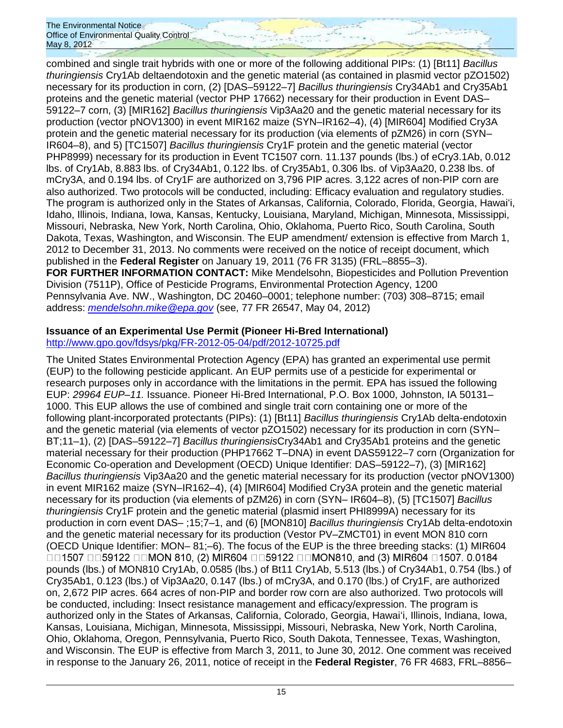combined and single trait hybrids with one or more of the following additional PIPs: (1) [Bt11] *Bacillus thuringiensis* Cry1Ab deltaendotoxin and the genetic material (as contained in plasmid vector pZO1502) necessary for its production in corn, (2) [DAS–59122–7] *Bacillus thuringiensis* Cry34Ab1 and Cry35Ab1 proteins and the genetic material (vector PHP 17662) necessary for their production in Event DAS– 59122–7 corn, (3) [MIR162] *Bacillus thuringiensis* Vip3Aa20 and the genetic material necessary for its production (vector pNOV1300) in event MIR162 maize (SYN–IR162–4), (4) [MIR604] Modified Cry3A protein and the genetic material necessary for its production (via elements of pZM26) in corn (SYN– IR604–8), and 5) [TC1507] *Bacillus thuringiensis* Cry1F protein and the genetic material (vector PHP8999) necessary for its production in Event TC1507 corn. 11.137 pounds (lbs.) of eCry3.1Ab, 0.012 lbs. of Cry1Ab, 8.883 lbs. of Cry34Ab1, 0.122 lbs. of Cry35Ab1, 0.306 lbs. of Vip3Aa20, 0.238 lbs. of mCry3A, and 0.194 lbs. of Cry1F are authorized on 3,796 PIP acres. 3,122 acres of non-PIP corn are also authorized. Two protocols will be conducted, including: Efficacy evaluation and regulatory studies. The program is authorized only in the States of Arkansas, California, Colorado, Florida, Georgia, Hawaiʻi, Idaho, Illinois, Indiana, Iowa, Kansas, Kentucky, Louisiana, Maryland, Michigan, Minnesota, Mississippi, Missouri, Nebraska, New York, North Carolina, Ohio, Oklahoma, Puerto Rico, South Carolina, South Dakota, Texas, Washington, and Wisconsin. The EUP amendment/ extension is effective from March 1, 2012 to December 31, 2013. No comments were received on the notice of receipt document, which published in the **Federal Register** on January 19, 2011 (76 FR 3135) (FRL–8855–3). **FOR FURTHER INFORMATION CONTACT:** Mike Mendelsohn, Biopesticides and Pollution Prevention Division (7511P), Office of Pesticide Programs, Environmental Protection Agency, 1200 Pennsylvania Ave. NW., Washington, DC 20460–0001; telephone number: (703) 308–8715; email address: *[mendelsohn.mike@epa.gov](mailto:mendelsohn.mike@epa.gov)* (see, 77 FR 26547, May 04, 2012)

# **Issuance of an Experimental Use Permit (Pioneer Hi-Bred International)**

<http://www.gpo.gov/fdsys/pkg/FR-2012-05-04/pdf/2012-10725.pdf>

The United States Environmental Protection Agency (EPA) has granted an experimental use permit (EUP) to the following pesticide applicant. An EUP permits use of a pesticide for experimental or research purposes only in accordance with the limitations in the permit. EPA has issued the following EUP: *29964 EUP–11.* Issuance. Pioneer Hi-Bred International, P.O. Box 1000, Johnston, IA 50131– 1000. This EUP allows the use of combined and single trait corn containing one or more of the following plant-incorporated protectants (PIPs): (1) [Bt11] *Bacillus thuringiensis* Cry1Ab delta-endotoxin and the genetic material (via elements of vector pZO1502) necessary for its production in corn (SYN– BT;11–1), (2) [DAS–59122–7] *Bacillus thuringiensis*Cry34Ab1 and Cry35Ab1 proteins and the genetic material necessary for their production (PHP17662 T–DNA) in event DAS59122–7 corn (Organization for Economic Co-operation and Development (OECD) Unique Identifier: DAS–59122–7), (3) [MIR162] *Bacillus thuringiensis* Vip3Aa20 and the genetic material necessary for its production (vector pNOV1300) in event MIR162 maize (SYN–IR162–4), (4) [MIR604] Modified Cry3A protein and the genetic material necessary for its production (via elements of pZM26) in corn (SYN– IR604–8), (5) [TC1507] *Bacillus thuringiensis* Cry1F protein and the genetic material (plasmid insert PHI8999A) necessary for its production in corn event DAS– ;15;7–1, and (6) [MON810] *Bacillus thuringiensis* Cry1Ab delta-endotoxin and the genetic material necessary for its production (Vestor PV–ZMCT01) in event MON 810 corn (OECD Unique Identifier: MON– 81;–6). The focus of the EUP is the three breeding stacks: (1) MIR604 □□1507 □□59122 □□MON 810, (2) MIR604 □□59122 □□MON810, and (3) MIR604 □1507. 0.0184 pounds (lbs.) of MON810 Cry1Ab, 0.0585 (lbs.) of Bt11 Cry1Ab, 5.513 (lbs.) of Cry34Ab1, 0.754 (lbs.) of Cry35Ab1, 0.123 (lbs.) of Vip3Aa20, 0.147 (lbs.) of mCry3A, and 0.170 (lbs.) of Cry1F, are authorized on, 2,672 PIP acres. 664 acres of non-PIP and border row corn are also authorized. Two protocols will be conducted, including: Insect resistance management and efficacy/expression. The program is authorized only in the States of Arkansas, California, Colorado, Georgia, Hawaiʻi, Illinois, Indiana, Iowa, Kansas, Louisiana, Michigan, Minnesota, Mississippi, Missouri, Nebraska, New York, North Carolina, Ohio, Oklahoma, Oregon, Pennsylvania, Puerto Rico, South Dakota, Tennessee, Texas, Washington, and Wisconsin. The EUP is effective from March 3, 2011, to June 30, 2012. One comment was received in response to the January 26, 2011, notice of receipt in the **Federal Register**, 76 FR 4683, FRL–8856–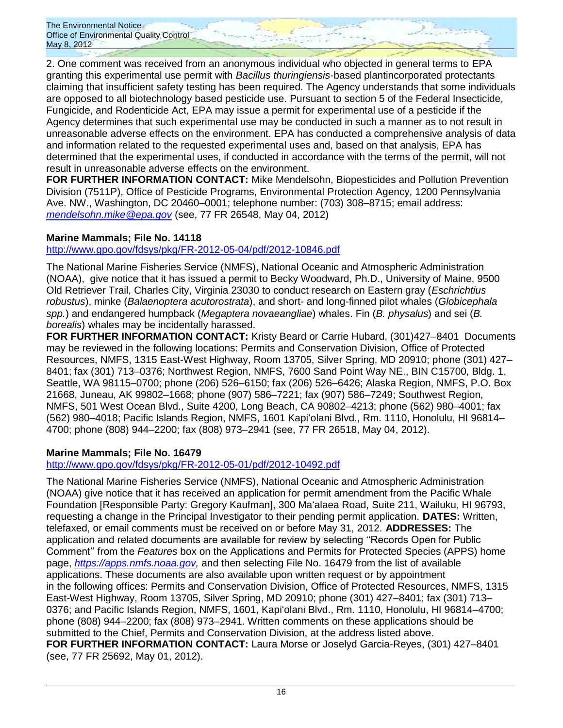2. One comment was received from an anonymous individual who objected in general terms to EPA granting this experimental use permit with *Bacillus thuringiensis-*based plantincorporated protectants claiming that insufficient safety testing has been required. The Agency understands that some individuals are opposed to all biotechnology based pesticide use. Pursuant to section 5 of the Federal Insecticide, Fungicide, and Rodenticide Act, EPA may issue a permit for experimental use of a pesticide if the Agency determines that such experimental use may be conducted in such a manner as to not result in unreasonable adverse effects on the environment. EPA has conducted a comprehensive analysis of data and information related to the requested experimental uses and, based on that analysis, EPA has determined that the experimental uses, if conducted in accordance with the terms of the permit, will not result in unreasonable adverse effects on the environment.

**FOR FURTHER INFORMATION CONTACT:** Mike Mendelsohn, Biopesticides and Pollution Prevention Division (7511P), Office of Pesticide Programs, Environmental Protection Agency, 1200 Pennsylvania Ave. NW., Washington, DC 20460–0001; telephone number: (703) 308–8715; email address: *[mendelsohn.mike@epa.gov](mailto:mendelsohn.mike@epa.gov)* (see, 77 FR 26548, May 04, 2012)

# **Marine Mammals; File No. 14118**

# <http://www.gpo.gov/fdsys/pkg/FR-2012-05-04/pdf/2012-10846.pdf>

The National Marine Fisheries Service (NMFS), National Oceanic and Atmospheric Administration (NOAA), give notice that it has issued a permit to Becky Woodward, Ph.D., University of Maine, 9500 Old Retriever Trail, Charles City, Virginia 23030 to conduct research on Eastern gray (*Eschrichtius robustus*), minke (*Balaenoptera acutorostrata*), and short- and long-finned pilot whales (*Globicephala spp.*) and endangered humpback (*Megaptera novaeangliae*) whales. Fin (*B. physalus*) and sei (*B. borealis*) whales may be incidentally harassed.

**FOR FURTHER INFORMATION CONTACT:** Kristy Beard or Carrie Hubard, (301)427–8401 Documents may be reviewed in the following locations: Permits and Conservation Division, Office of Protected Resources, NMFS, 1315 East-West Highway, Room 13705, Silver Spring, MD 20910; phone (301) 427– 8401; fax (301) 713–0376; Northwest Region, NMFS, 7600 Sand Point Way NE., BIN C15700, Bldg. 1, Seattle, WA 98115–0700; phone (206) 526–6150; fax (206) 526–6426; Alaska Region, NMFS, P.O. Box 21668, Juneau, AK 99802–1668; phone (907) 586–7221; fax (907) 586–7249; Southwest Region, NMFS, 501 West Ocean Blvd., Suite 4200, Long Beach, CA 90802–4213; phone (562) 980–4001; fax (562) 980–4018; Pacific Islands Region, NMFS, 1601 Kapiʻolani Blvd., Rm. 1110, Honolulu, HI 96814– 4700; phone (808) 944–2200; fax (808) 973–2941 (see, 77 FR 26518, May 04, 2012).

# **Marine Mammals; File No. 16479**

<http://www.gpo.gov/fdsys/pkg/FR-2012-05-01/pdf/2012-10492.pdf>

The National Marine Fisheries Service (NMFS), National Oceanic and Atmospheric Administration (NOAA) give notice that it has received an application for permit amendment from the Pacific Whale Foundation [Responsible Party: Gregory Kaufman], 300 Maʻalaea Road, Suite 211, Wailuku, HI 96793, requesting a change in the Principal Investigator to their pending permit application. **DATES:** Written, telefaxed, or email comments must be received on or before May 31, 2012. **ADDRESSES:** The application and related documents are available for review by selecting ''Records Open for Public Comment'' from the *Features* box on the Applications and Permits for Protected Species (APPS) home page, *[https://apps.nmfs.noaa.gov,](https://apps.nmfs.noaa.gov/)* and then selecting File No. 16479 from the list of available applications. These documents are also available upon written request or by appointment in the following offices: Permits and Conservation Division, Office of Protected Resources, NMFS, 1315 East-West Highway, Room 13705, Silver Spring, MD 20910; phone (301) 427–8401; fax (301) 713– 0376; and Pacific Islands Region, NMFS, 1601, Kapiʻolani Blvd., Rm. 1110, Honolulu, HI 96814–4700; phone (808) 944–2200; fax (808) 973–2941. Written comments on these applications should be submitted to the Chief, Permits and Conservation Division, at the address listed above. **FOR FURTHER INFORMATION CONTACT:** Laura Morse or Joselyd Garcia-Reyes, (301) 427–8401 (see, 77 FR 25692, May 01, 2012).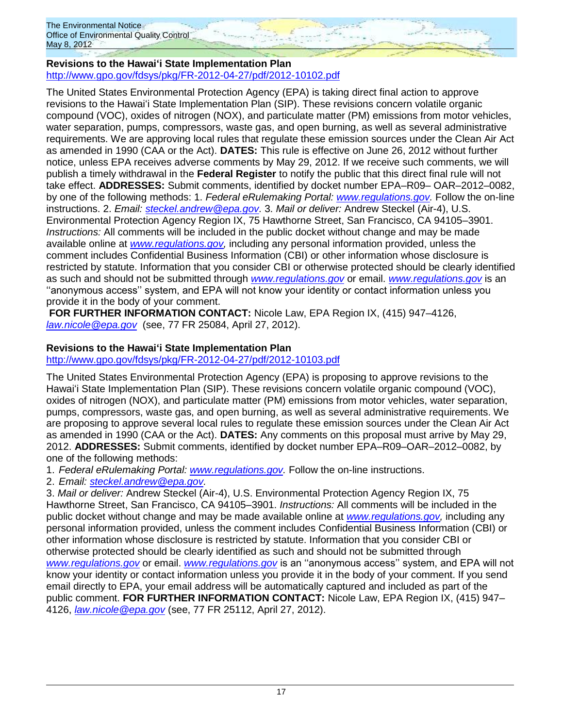# **Revisions to the Hawaiʻi State Implementation Plan** <http://www.gpo.gov/fdsys/pkg/FR-2012-04-27/pdf/2012-10102.pdf>

The United States Environmental Protection Agency (EPA) is taking direct final action to approve revisions to the Hawaiʻi State Implementation Plan (SIP). These revisions concern volatile organic compound (VOC), oxides of nitrogen (NOX), and particulate matter (PM) emissions from motor vehicles, water separation, pumps, compressors, waste gas, and open burning, as well as several administrative requirements. We are approving local rules that regulate these emission sources under the Clean Air Act as amended in 1990 (CAA or the Act). **DATES:** This rule is effective on June 26, 2012 without further notice, unless EPA receives adverse comments by May 29, 2012. If we receive such comments, we will publish a timely withdrawal in the **Federal Register** to notify the public that this direct final rule will not take effect. **ADDRESSES:** Submit comments, identified by docket number EPA–R09– OAR–2012–0082, by one of the following methods: 1. *Federal eRulemaking Portal: [www.regulations.gov.](http://www.regulations.gov/)* Follow the on-line instructions. 2. *Email: [steckel.andrew@epa.gov.](mailto:steckel.andrew@epa.gov)* 3. *Mail or deliver:* Andrew Steckel (Air-4), U.S. Environmental Protection Agency Region IX, 75 Hawthorne Street, San Francisco, CA 94105–3901. *Instructions:* All comments will be included in the public docket without change and may be made available online at *[www.regulations.gov,](http://www.regulations.gov/)* including any personal information provided, unless the comment includes Confidential Business Information (CBI) or other information whose disclosure is restricted by statute. Information that you consider CBI or otherwise protected should be clearly identified as such and should not be submitted through *[www.regulations.gov](http://www.regulations.gov/)* or email. *[www.regulations.gov](http://www.regulations.gov/)* is an ''anonymous access'' system, and EPA will not know your identity or contact information unless you provide it in the body of your comment.

**FOR FURTHER INFORMATION CONTACT:** Nicole Law, EPA Region IX, (415) 947–4126, *[law.nicole@epa.gov](mailto:law.nicole@epa.gov)* (see, 77 FR 25084, April 27, 2012).

# **Revisions to the Hawaiʻi State Implementation Plan**

<http://www.gpo.gov/fdsys/pkg/FR-2012-04-27/pdf/2012-10103.pdf>

The United States Environmental Protection Agency (EPA) is proposing to approve revisions to the Hawaiʻi State Implementation Plan (SIP). These revisions concern volatile organic compound (VOC), oxides of nitrogen (NOX), and particulate matter (PM) emissions from motor vehicles, water separation, pumps, compressors, waste gas, and open burning, as well as several administrative requirements. We are proposing to approve several local rules to regulate these emission sources under the Clean Air Act as amended in 1990 (CAA or the Act). **DATES:** Any comments on this proposal must arrive by May 29, 2012. **ADDRESSES:** Submit comments, identified by docket number EPA–R09–OAR–2012–0082, by one of the following methods:

1. *Federal eRulemaking Portal: [www.regulations.gov.](http://www.regulations.gov/)* Follow the on-line instructions.

2. *Email: [steckel.andrew@epa.gov.](mailto:steckel.andrew@epa.gov)*

3. *Mail or deliver:* Andrew Steckel (Air-4), U.S. Environmental Protection Agency Region IX, 75 Hawthorne Street, San Francisco, CA 94105–3901. *Instructions:* All comments will be included in the public docket without change and may be made available online at *[www.regulations.gov,](http://www.regulations.gov/)* including any personal information provided, unless the comment includes Confidential Business Information (CBI) or other information whose disclosure is restricted by statute. Information that you consider CBI or otherwise protected should be clearly identified as such and should not be submitted through *[www.regulations.gov](http://www.regulations.gov/)* or email. *[www.regulations.gov](http://www.regulations.gov/)* is an ''anonymous access'' system, and EPA will not know your identity or contact information unless you provide it in the body of your comment. If you send email directly to EPA, your email address will be automatically captured and included as part of the public comment. **FOR FURTHER INFORMATION CONTACT:** Nicole Law, EPA Region IX, (415) 947– 4126, *[law.nicole@epa.gov](mailto:law.nicole@epa.gov)* (see, 77 FR 25112, April 27, 2012).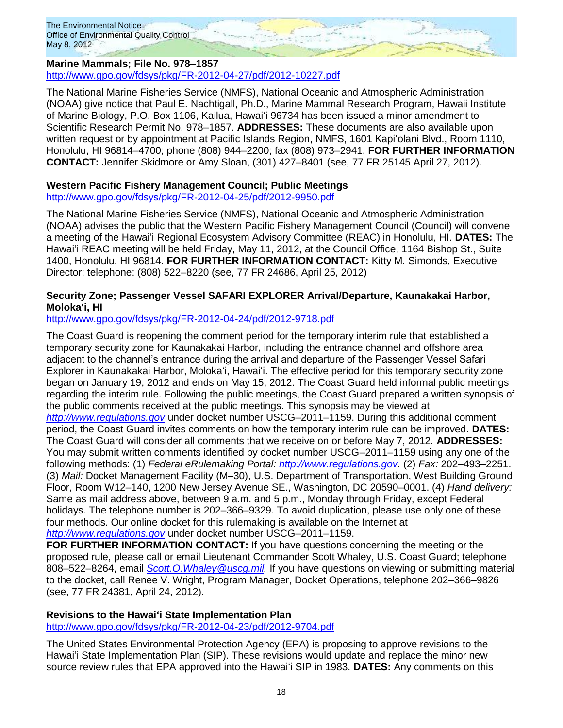# **Marine Mammals; File No. 978–1857**

<http://www.gpo.gov/fdsys/pkg/FR-2012-04-27/pdf/2012-10227.pdf>

The National Marine Fisheries Service (NMFS), National Oceanic and Atmospheric Administration (NOAA) give notice that Paul E. Nachtigall, Ph.D., Marine Mammal Research Program, Hawaii Institute of Marine Biology, P.O. Box 1106, Kailua, Hawaiʻi 96734 has been issued a minor amendment to Scientific Research Permit No. 978–1857. **ADDRESSES:** These documents are also available upon written request or by appointment at Pacific Islands Region, NMFS, 1601 Kapiʻolani Blvd., Room 1110, Honolulu, HI 96814–4700; phone (808) 944–2200; fax (808) 973–2941. **FOR FURTHER INFORMATION CONTACT:** Jennifer Skidmore or Amy Sloan, (301) 427–8401 (see, 77 FR 25145 April 27, 2012).

#### **Western Pacific Fishery Management Council; Public Meetings** <http://www.gpo.gov/fdsys/pkg/FR-2012-04-25/pdf/2012-9950.pdf>

The National Marine Fisheries Service (NMFS), National Oceanic and Atmospheric Administration (NOAA) advises the public that the Western Pacific Fishery Management Council (Council) will convene a meeting of the Hawaiʻi Regional Ecosystem Advisory Committee (REAC) in Honolulu, HI. **DATES:** The Hawaiʻi REAC meeting will be held Friday, May 11, 2012, at the Council Office, 1164 Bishop St., Suite 1400, Honolulu, HI 96814. **FOR FURTHER INFORMATION CONTACT:** Kitty M. Simonds, Executive Director; telephone: (808) 522–8220 (see, 77 FR 24686, April 25, 2012)

### **Security Zone; Passenger Vessel SAFARI EXPLORER Arrival/Departure, Kaunakakai Harbor, Molokaʻi, HI**

# <http://www.gpo.gov/fdsys/pkg/FR-2012-04-24/pdf/2012-9718.pdf>

The Coast Guard is reopening the comment period for the temporary interim rule that established a temporary security zone for Kaunakakai Harbor, including the entrance channel and offshore area adjacent to the channel's entrance during the arrival and departure of the Passenger Vessel Safari Explorer in Kaunakakai Harbor, Molokaʻi, Hawaiʻi. The effective period for this temporary security zone began on January 19, 2012 and ends on May 15, 2012. The Coast Guard held informal public meetings regarding the interim rule. Following the public meetings, the Coast Guard prepared a written synopsis of the public comments received at the public meetings. This synopsis may be viewed at *[http://www.regulations.gov](http://www.regulations.gov/)* under docket number USCG–2011–1159. During this additional comment period, the Coast Guard invites comments on how the temporary interim rule can be improved. **DATES:**  The Coast Guard will consider all comments that we receive on or before May 7, 2012. **ADDRESSES:**  You may submit written comments identified by docket number USCG–2011–1159 using any one of the following methods: (1) *Federal eRulemaking Portal: [http://www.regulations.gov.](http://www.regulations.gov/)* (2) *Fax:* 202–493–2251. (3) *Mail:* Docket Management Facility (M–30), U.S. Department of Transportation, West Building Ground Floor, Room W12–140, 1200 New Jersey Avenue SE., Washington, DC 20590–0001. (4) *Hand delivery:*  Same as mail address above, between 9 a.m. and 5 p.m., Monday through Friday, except Federal holidays. The telephone number is 202–366–9329. To avoid duplication, please use only one of these four methods. Our online docket for this rulemaking is available on the Internet at *[http://www.regulations.gov](http://www.regulations.gov/)* under docket number USCG–2011–1159.

**FOR FURTHER INFORMATION CONTACT:** If you have questions concerning the meeting or the proposed rule, please call or email Lieutenant Commander Scott Whaley, U.S. Coast Guard; telephone 808–522–8264, email *[Scott.O.Whaley@uscg.mil.](mailto:Scott.O.Whaley@uscg.mil)* If you have questions on viewing or submitting material to the docket, call Renee V. Wright, Program Manager, Docket Operations, telephone 202–366–9826 (see, 77 FR 24381, April 24, 2012).

# **Revisions to the Hawaiʻi State Implementation Plan**

<http://www.gpo.gov/fdsys/pkg/FR-2012-04-23/pdf/2012-9704.pdf>

The United States Environmental Protection Agency (EPA) is proposing to approve revisions to the Hawaiʻi State Implementation Plan (SIP). These revisions would update and replace the minor new source review rules that EPA approved into the Hawaiʻi SIP in 1983. **DATES:** Any comments on this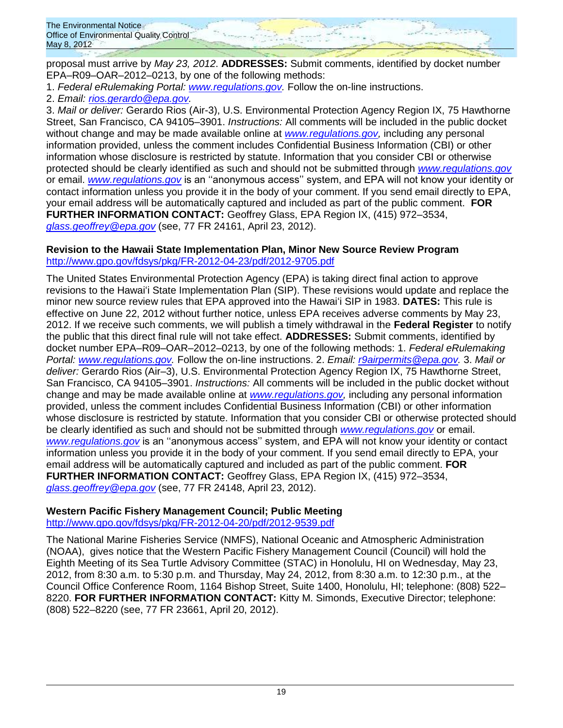proposal must arrive by *May 23, 2012*. **ADDRESSES:** Submit comments, identified by docket number EPA–R09–OAR–2012–0213, by one of the following methods:

1. *Federal eRulemaking Portal: [www.regulations.gov.](http://www.regulations.gov/)* Follow the on-line instructions.

2. *Email: [rios.gerardo@epa.gov.](mailto:rios.gerardo@epa.gov)*

3. *Mail or deliver:* Gerardo Rios (Air-3), U.S. Environmental Protection Agency Region IX, 75 Hawthorne Street, San Francisco, CA 94105–3901. *Instructions:* All comments will be included in the public docket without change and may be made available online at *[www.regulations.gov,](http://www.regulations.gov/)* including any personal information provided, unless the comment includes Confidential Business Information (CBI) or other information whose disclosure is restricted by statute. Information that you consider CBI or otherwise protected should be clearly identified as such and should not be submitted through *[www.regulations.gov](http://www.regulations.gov/)* or email. *[www.regulations.gov](http://www.regulations.gov/)* is an ''anonymous access'' system, and EPA will not know your identity or contact information unless you provide it in the body of your comment. If you send email directly to EPA, your email address will be automatically captured and included as part of the public comment. **FOR FURTHER INFORMATION CONTACT:** Geoffrey Glass, EPA Region IX, (415) 972–3534, *[glass.geoffrey@epa.gov](mailto:glass.geoffrey@epa.gov)* (see, 77 FR 24161, April 23, 2012).

### **Revision to the Hawaii State Implementation Plan, Minor New Source Review Program** <http://www.gpo.gov/fdsys/pkg/FR-2012-04-23/pdf/2012-9705.pdf>

The United States Environmental Protection Agency (EPA) is taking direct final action to approve revisions to the Hawaiʻi State Implementation Plan (SIP). These revisions would update and replace the minor new source review rules that EPA approved into the Hawaiʻi SIP in 1983. **DATES:** This rule is effective on June 22, 2012 without further notice, unless EPA receives adverse comments by May 23, 2012. If we receive such comments, we will publish a timely withdrawal in the **Federal Register** to notify the public that this direct final rule will not take effect. **ADDRESSES:** Submit comments, identified by docket number EPA–R09–OAR–2012–0213, by one of the following methods: 1. *Federal eRulemaking Portal: [www.regulations.gov.](http://www.regulations.gov/)* Follow the on-line instructions. 2. *Email: [r9airpermits@epa.gov.](mailto:r9airpermits@epa.gov)* 3. *Mail or deliver:* Gerardo Rios (Air–3), U.S. Environmental Protection Agency Region IX, 75 Hawthorne Street, San Francisco, CA 94105–3901. *Instructions:* All comments will be included in the public docket without change and may be made available online at *[www.regulations.gov,](http://www.regulations.gov/)* including any personal information provided, unless the comment includes Confidential Business Information (CBI) or other information whose disclosure is restricted by statute. Information that you consider CBI or otherwise protected should be clearly identified as such and should not be submitted through *[www.regulations.gov](http://www.regulations.gov/)* or email. *[www.regulations.gov](http://www.regulations.gov/)* is an ''anonymous access'' system, and EPA will not know your identity or contact information unless you provide it in the body of your comment. If you send email directly to EPA, your email address will be automatically captured and included as part of the public comment. **FOR FURTHER INFORMATION CONTACT:** Geoffrey Glass, EPA Region IX, (415) 972–3534, *[glass.geoffrey@epa.gov](mailto:glass.geoffrey@epa.gov)* (see, 77 FR 24148, April 23, 2012).

# **Western Pacific Fishery Management Council; Public Meeting**

<http://www.gpo.gov/fdsys/pkg/FR-2012-04-20/pdf/2012-9539.pdf>

The National Marine Fisheries Service (NMFS), National Oceanic and Atmospheric Administration (NOAA), gives notice that the Western Pacific Fishery Management Council (Council) will hold the Eighth Meeting of its Sea Turtle Advisory Committee (STAC) in Honolulu, HI on Wednesday, May 23, 2012, from 8:30 a.m. to 5:30 p.m. and Thursday, May 24, 2012, from 8:30 a.m. to 12:30 p.m., at the Council Office Conference Room, 1164 Bishop Street, Suite 1400, Honolulu, HI; telephone: (808) 522– 8220. **FOR FURTHER INFORMATION CONTACT:** Kitty M. Simonds, Executive Director; telephone: (808) 522–8220 (see, 77 FR 23661, April 20, 2012).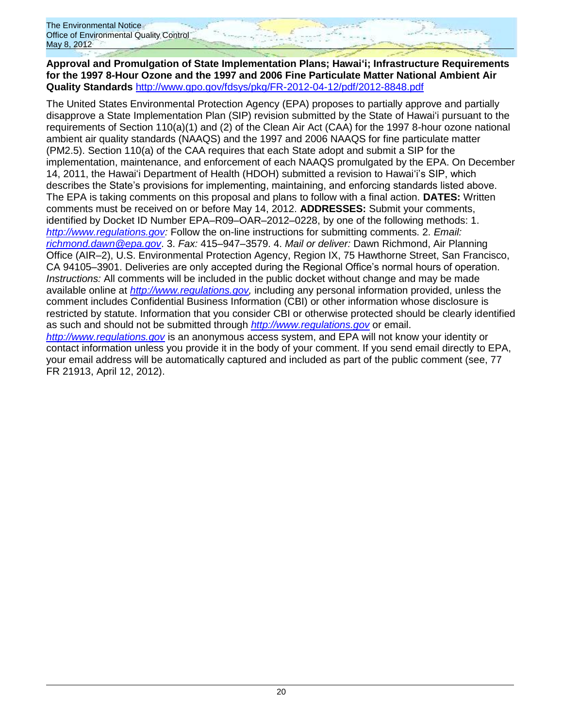**Approval and Promulgation of State Implementation Plans; Hawaiʻi; Infrastructure Requirements for the 1997 8-Hour Ozone and the 1997 and 2006 Fine Particulate Matter National Ambient Air Quality Standards** <http://www.gpo.gov/fdsys/pkg/FR-2012-04-12/pdf/2012-8848.pdf>

The United States Environmental Protection Agency (EPA) proposes to partially approve and partially disapprove a State Implementation Plan (SIP) revision submitted by the State of Hawaiʻi pursuant to the requirements of Section 110(a)(1) and (2) of the Clean Air Act (CAA) for the 1997 8-hour ozone national ambient air quality standards (NAAQS) and the 1997 and 2006 NAAQS for fine particulate matter (PM2.5). Section 110(a) of the CAA requires that each State adopt and submit a SIP for the implementation, maintenance, and enforcement of each NAAQS promulgated by the EPA. On December 14, 2011, the Hawaiʻi Department of Health (HDOH) submitted a revision to Hawaiʻi's SIP, which describes the State's provisions for implementing, maintaining, and enforcing standards listed above. The EPA is taking comments on this proposal and plans to follow with a final action. **DATES:** Written comments must be received on or before May 14, 2012. **ADDRESSES:** Submit your comments, identified by Docket ID Number EPA–R09–OAR–2012–0228, by one of the following methods: 1. *[http://www.regulations.gov:](http://www.regulations.gov/)* Follow the on-line instructions for submitting comments. 2. *Email: [richmond.dawn@epa.gov](mailto:richmond.dawn@epa.gov)*. 3. *Fax:* 415–947–3579. 4. *Mail or deliver:* Dawn Richmond, Air Planning Office (AIR–2), U.S. Environmental Protection Agency, Region IX, 75 Hawthorne Street, San Francisco, CA 94105–3901. Deliveries are only accepted during the Regional Office's normal hours of operation. *Instructions:* All comments will be included in the public docket without change and may be made available online at *[http://www.regulations.gov,](http://www.regulations.gov/)* including any personal information provided, unless the comment includes Confidential Business Information (CBI) or other information whose disclosure is restricted by statute. Information that you consider CBI or otherwise protected should be clearly identified as such and should not be submitted through *[http://www.regulations.gov](http://www.regulations.gov/)* or email. *[http://www.regulations.gov](http://www.regulations.gov/)* is an anonymous access system, and EPA will not know your identity or contact information unless you provide it in the body of your comment. If you send email directly to EPA, your email address will be automatically captured and included as part of the public comment (see, 77 FR 21913, April 12, 2012).